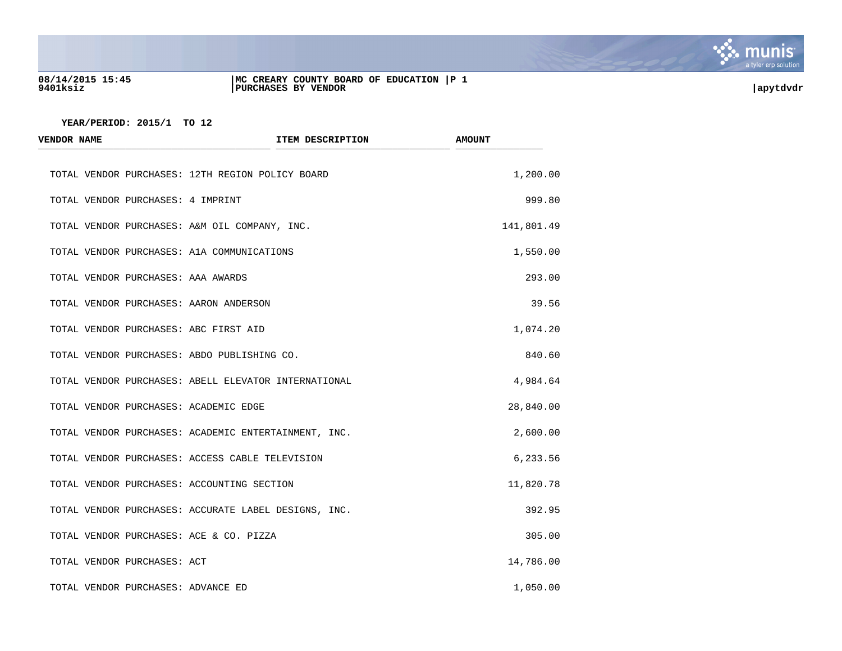

## **08/14/2015 15:45 |MC CREARY COUNTY BOARD OF EDUCATION |P 1 9401ksiz |PURCHASES BY VENDOR |apytdvdr**

| <b>VENDOR NAME</b>                    | ITEM DESCRIPTION                                     | <b>AMOUNT</b> |
|---------------------------------------|------------------------------------------------------|---------------|
|                                       | TOTAL VENDOR PURCHASES: 12TH REGION POLICY BOARD     | 1,200.00      |
| TOTAL VENDOR PURCHASES: 4 IMPRINT     |                                                      | 999.80        |
|                                       | TOTAL VENDOR PURCHASES: A&M OIL COMPANY, INC.        | 141,801.49    |
|                                       | TOTAL VENDOR PURCHASES: A1A COMMUNICATIONS           | 1,550.00      |
| TOTAL VENDOR PURCHASES: AAA AWARDS    |                                                      | 293.00        |
|                                       | TOTAL VENDOR PURCHASES: AARON ANDERSON               | 39.56         |
|                                       | TOTAL VENDOR PURCHASES: ABC FIRST AID                | 1,074.20      |
|                                       | TOTAL VENDOR PURCHASES: ABDO PUBLISHING CO.          | 840.60        |
|                                       | TOTAL VENDOR PURCHASES: ABELL ELEVATOR INTERNATIONAL | 4,984.64      |
| TOTAL VENDOR PURCHASES: ACADEMIC EDGE |                                                      | 28,840.00     |
|                                       | TOTAL VENDOR PURCHASES: ACADEMIC ENTERTAINMENT, INC. | 2,600.00      |
|                                       | TOTAL VENDOR PURCHASES: ACCESS CABLE TELEVISION      | 6,233.56      |
|                                       | TOTAL VENDOR PURCHASES: ACCOUNTING SECTION           | 11,820.78     |
|                                       | TOTAL VENDOR PURCHASES: ACCURATE LABEL DESIGNS, INC. | 392.95        |
|                                       | TOTAL VENDOR PURCHASES: ACE & CO. PIZZA              | 305.00        |
| TOTAL VENDOR PURCHASES: ACT           |                                                      | 14,786.00     |
| TOTAL VENDOR PURCHASES: ADVANCE ED    |                                                      | 1,050.00      |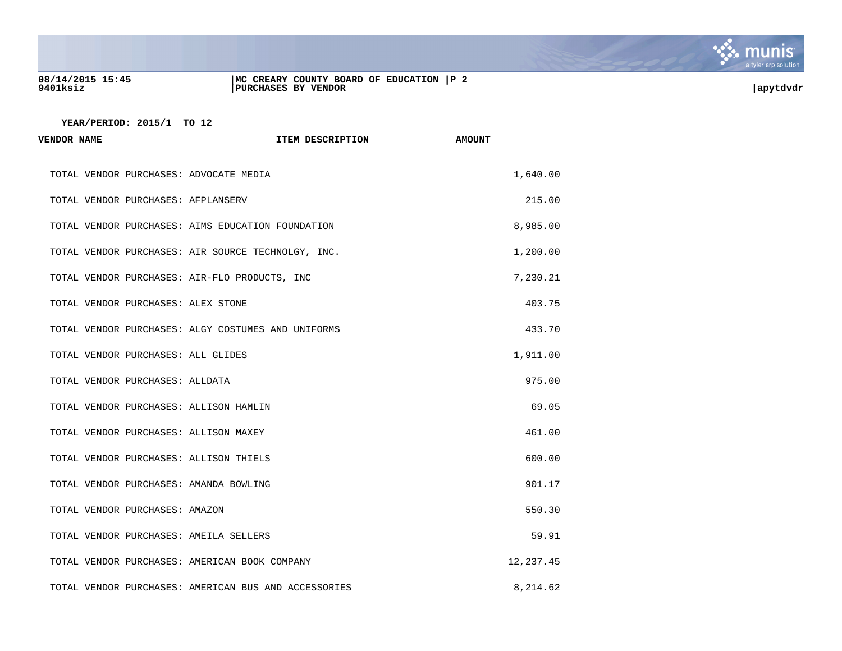

## **08/14/2015 15:45 |MC CREARY COUNTY BOARD OF EDUCATION |P 2 9401ksiz |PURCHASES BY VENDOR |apytdvdr**

| <b>VENDOR NAME</b>                            | <b>ITEM DESCRIPTION</b>                              | <b>AMOUNT</b> |
|-----------------------------------------------|------------------------------------------------------|---------------|
| TOTAL VENDOR PURCHASES: ADVOCATE MEDIA        |                                                      | 1,640.00      |
| TOTAL VENDOR PURCHASES: AFPLANSERV            |                                                      | 215.00        |
|                                               | TOTAL VENDOR PURCHASES: AIMS EDUCATION FOUNDATION    | 8,985.00      |
|                                               | TOTAL VENDOR PURCHASES: AIR SOURCE TECHNOLGY, INC.   | 1,200.00      |
| TOTAL VENDOR PURCHASES: AIR-FLO PRODUCTS, INC |                                                      | 7,230.21      |
| TOTAL VENDOR PURCHASES: ALEX STONE            |                                                      | 403.75        |
|                                               | TOTAL VENDOR PURCHASES: ALGY COSTUMES AND UNIFORMS   | 433.70        |
| TOTAL VENDOR PURCHASES: ALL GLIDES            |                                                      | 1,911.00      |
| TOTAL VENDOR PURCHASES: ALLDATA               |                                                      | 975.00        |
| TOTAL VENDOR PURCHASES: ALLISON HAMLIN        |                                                      | 69.05         |
| TOTAL VENDOR PURCHASES: ALLISON MAXEY         |                                                      | 461.00        |
| TOTAL VENDOR PURCHASES: ALLISON THIELS        |                                                      | 600.00        |
| TOTAL VENDOR PURCHASES: AMANDA BOWLING        |                                                      | 901.17        |
| TOTAL VENDOR PURCHASES: AMAZON                |                                                      | 550.30        |
| TOTAL VENDOR PURCHASES: AMEILA SELLERS        |                                                      | 59.91         |
| TOTAL VENDOR PURCHASES: AMERICAN BOOK COMPANY |                                                      | 12, 237.45    |
|                                               | TOTAL VENDOR PURCHASES: AMERICAN BUS AND ACCESSORIES | 8,214.62      |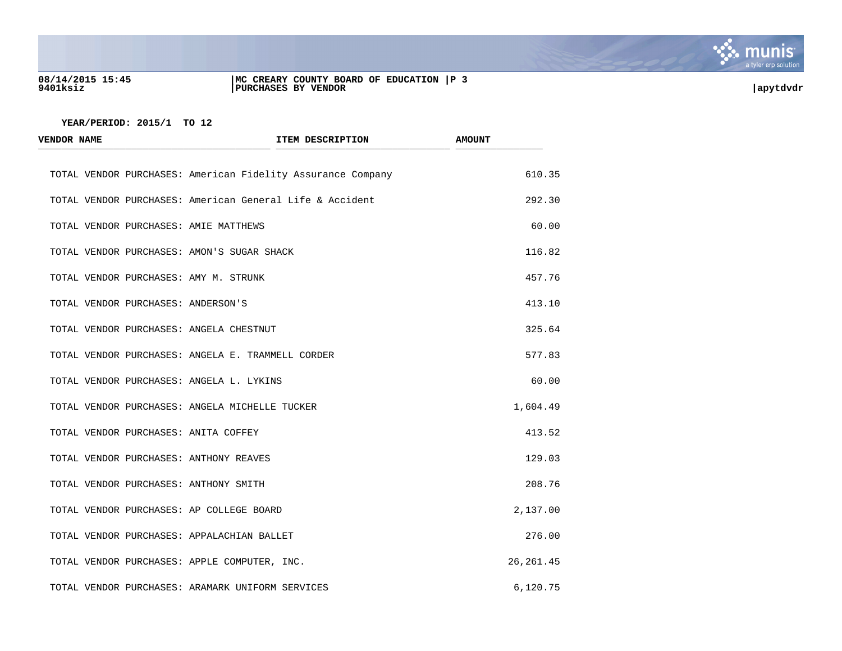

# **08/14/2015 15:45 |MC CREARY COUNTY BOARD OF EDUCATION |P 3 9401ksiz |PURCHASES BY VENDOR |apytdvdr**

| <b>VENDOR NAME</b> |  | ITEM DESCRIPTION                                            | <b>AMOUNT</b> |  |
|--------------------|--|-------------------------------------------------------------|---------------|--|
|                    |  | TOTAL VENDOR PURCHASES: American Fidelity Assurance Company | 610.35        |  |
|                    |  | TOTAL VENDOR PURCHASES: American General Life & Accident    | 292.30        |  |
|                    |  | TOTAL VENDOR PURCHASES: AMIE MATTHEWS                       | 60.00         |  |
|                    |  | TOTAL VENDOR PURCHASES: AMON'S SUGAR SHACK                  | 116.82        |  |
|                    |  | TOTAL VENDOR PURCHASES: AMY M. STRUNK                       | 457.76        |  |
|                    |  | TOTAL VENDOR PURCHASES: ANDERSON'S                          | 413.10        |  |
|                    |  | TOTAL VENDOR PURCHASES: ANGELA CHESTNUT                     | 325.64        |  |
|                    |  | TOTAL VENDOR PURCHASES: ANGELA E. TRAMMELL CORDER           | 577.83        |  |
|                    |  | TOTAL VENDOR PURCHASES: ANGELA L. LYKINS                    | 60.00         |  |
|                    |  | TOTAL VENDOR PURCHASES: ANGELA MICHELLE TUCKER              | 1,604.49      |  |
|                    |  | TOTAL VENDOR PURCHASES: ANITA COFFEY                        | 413.52        |  |
|                    |  | TOTAL VENDOR PURCHASES: ANTHONY REAVES                      | 129.03        |  |
|                    |  | TOTAL VENDOR PURCHASES: ANTHONY SMITH                       | 208.76        |  |
|                    |  | TOTAL VENDOR PURCHASES: AP COLLEGE BOARD                    | 2,137.00      |  |
|                    |  | TOTAL VENDOR PURCHASES: APPALACHIAN BALLET                  | 276.00        |  |
|                    |  | TOTAL VENDOR PURCHASES: APPLE COMPUTER, INC.                | 26, 261.45    |  |
|                    |  | TOTAL VENDOR PURCHASES: ARAMARK UNIFORM SERVICES            | 6,120.75      |  |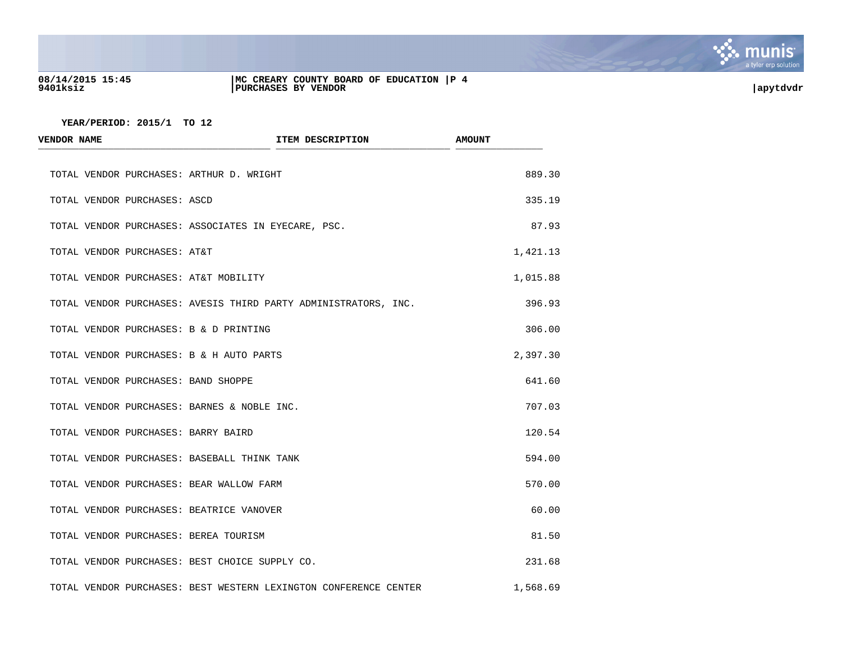

## **08/14/2015 15:45 |MC CREARY COUNTY BOARD OF EDUCATION |P 4 9401ksiz |PURCHASES BY VENDOR |apytdvdr**

| <b>VENDOR NAME</b>                             | ITEM DESCRIPTION                                                 | <b>AMOUNT</b> |
|------------------------------------------------|------------------------------------------------------------------|---------------|
| TOTAL VENDOR PURCHASES: ARTHUR D. WRIGHT       |                                                                  | 889.30        |
| TOTAL VENDOR PURCHASES: ASCD                   |                                                                  | 335.19        |
|                                                | TOTAL VENDOR PURCHASES: ASSOCIATES IN EYECARE, PSC.              | 87.93         |
| TOTAL VENDOR PURCHASES: AT&T                   |                                                                  | 1,421.13      |
| TOTAL VENDOR PURCHASES: AT&T MOBILITY          |                                                                  | 1,015.88      |
|                                                | TOTAL VENDOR PURCHASES: AVESIS THIRD PARTY ADMINISTRATORS, INC.  | 396.93        |
| TOTAL VENDOR PURCHASES: B & D PRINTING         |                                                                  | 306.00        |
| TOTAL VENDOR PURCHASES: B & H AUTO PARTS       |                                                                  | 2,397.30      |
| TOTAL VENDOR PURCHASES: BAND SHOPPE            |                                                                  | 641.60        |
| TOTAL VENDOR PURCHASES: BARNES & NOBLE INC.    |                                                                  | 707.03        |
| TOTAL VENDOR PURCHASES: BARRY BAIRD            |                                                                  | 120.54        |
| TOTAL VENDOR PURCHASES: BASEBALL THINK TANK    |                                                                  | 594.00        |
| TOTAL VENDOR PURCHASES: BEAR WALLOW FARM       |                                                                  | 570.00        |
| TOTAL VENDOR PURCHASES: BEATRICE VANOVER       |                                                                  | 60.00         |
| TOTAL VENDOR PURCHASES: BEREA TOURISM          |                                                                  | 81.50         |
| TOTAL VENDOR PURCHASES: BEST CHOICE SUPPLY CO. |                                                                  | 231.68        |
|                                                | TOTAL VENDOR PURCHASES: BEST WESTERN LEXINGTON CONFERENCE CENTER | 1,568.69      |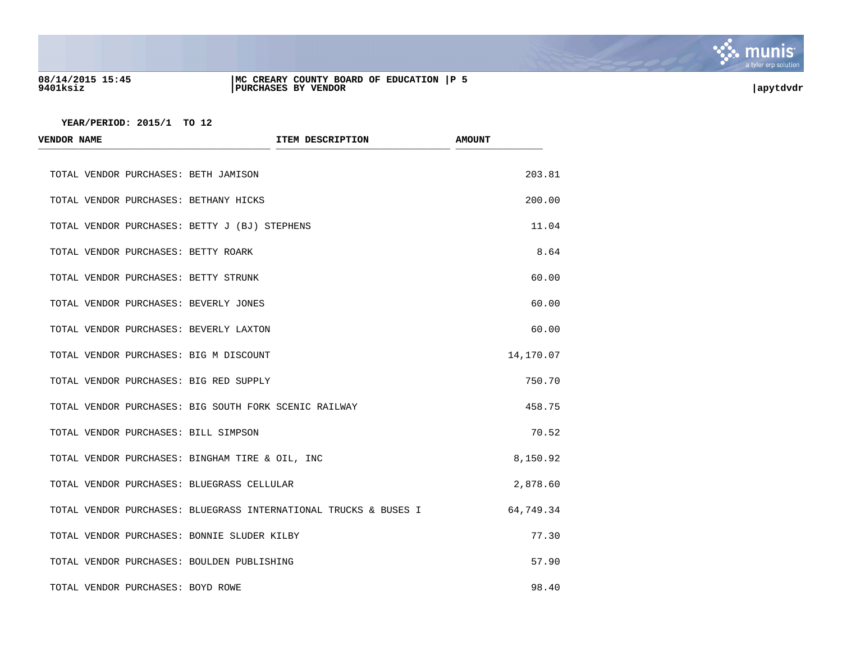

## **08/14/2015 15:45 |MC CREARY COUNTY BOARD OF EDUCATION |P 5 9401ksiz |PURCHASES BY VENDOR |apytdvdr**

| <b>VENDOR NAME</b>                            | ITEM DESCRIPTION                                                 | <b>AMOUNT</b> |
|-----------------------------------------------|------------------------------------------------------------------|---------------|
| TOTAL VENDOR PURCHASES: BETH JAMISON          |                                                                  | 203.81        |
| TOTAL VENDOR PURCHASES: BETHANY HICKS         |                                                                  | 200.00        |
| TOTAL VENDOR PURCHASES: BETTY J (BJ) STEPHENS |                                                                  | 11.04         |
| TOTAL VENDOR PURCHASES: BETTY ROARK           |                                                                  | 8.64          |
| TOTAL VENDOR PURCHASES: BETTY STRUNK          |                                                                  | 60.00         |
| TOTAL VENDOR PURCHASES: BEVERLY JONES         |                                                                  | 60.00         |
| TOTAL VENDOR PURCHASES: BEVERLY LAXTON        |                                                                  | 60.00         |
| TOTAL VENDOR PURCHASES: BIG M DISCOUNT        |                                                                  | 14,170.07     |
| TOTAL VENDOR PURCHASES: BIG RED SUPPLY        |                                                                  | 750.70        |
|                                               | TOTAL VENDOR PURCHASES: BIG SOUTH FORK SCENIC RAILWAY            | 458.75        |
| TOTAL VENDOR PURCHASES: BILL SIMPSON          |                                                                  | 70.52         |
|                                               | TOTAL VENDOR PURCHASES: BINGHAM TIRE & OIL, INC                  | 8,150.92      |
| TOTAL VENDOR PURCHASES: BLUEGRASS CELLULAR    |                                                                  | 2,878.60      |
|                                               | TOTAL VENDOR PURCHASES: BLUEGRASS INTERNATIONAL TRUCKS & BUSES I | 64,749.34     |
| TOTAL VENDOR PURCHASES: BONNIE SLUDER KILBY   |                                                                  | 77.30         |
| TOTAL VENDOR PURCHASES: BOULDEN PUBLISHING    |                                                                  | 57.90         |
| TOTAL VENDOR PURCHASES: BOYD ROWE             |                                                                  | 98.40         |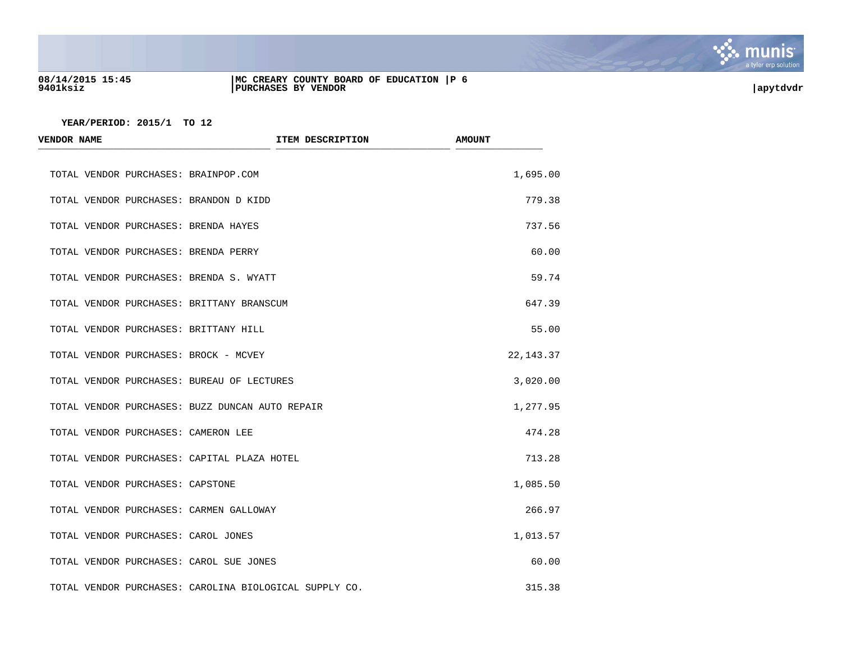

## **08/14/2015 15:45 |MC CREARY COUNTY BOARD OF EDUCATION |P 6 9401ksiz |PURCHASES BY VENDOR |apytdvdr**

| <b>VENDOR NAME</b>                          | ITEM DESCRIPTION                                       | <b>AMOUNT</b> |
|---------------------------------------------|--------------------------------------------------------|---------------|
| TOTAL VENDOR PURCHASES: BRAINPOP.COM        |                                                        | 1,695.00      |
| TOTAL VENDOR PURCHASES: BRANDON D KIDD      |                                                        | 779.38        |
| TOTAL VENDOR PURCHASES: BRENDA HAYES        |                                                        | 737.56        |
| TOTAL VENDOR PURCHASES: BRENDA PERRY        |                                                        | 60.00         |
| TOTAL VENDOR PURCHASES: BRENDA S. WYATT     |                                                        | 59.74         |
| TOTAL VENDOR PURCHASES: BRITTANY BRANSCUM   |                                                        | 647.39        |
| TOTAL VENDOR PURCHASES: BRITTANY HILL       |                                                        | 55.00         |
| TOTAL VENDOR PURCHASES: BROCK - MCVEY       |                                                        | 22, 143. 37   |
| TOTAL VENDOR PURCHASES: BUREAU OF LECTURES  |                                                        | 3,020.00      |
|                                             | TOTAL VENDOR PURCHASES: BUZZ DUNCAN AUTO REPAIR        | 1,277.95      |
| TOTAL VENDOR PURCHASES: CAMERON LEE         |                                                        | 474.28        |
| TOTAL VENDOR PURCHASES: CAPITAL PLAZA HOTEL |                                                        | 713.28        |
| TOTAL VENDOR PURCHASES: CAPSTONE            |                                                        | 1,085.50      |
| TOTAL VENDOR PURCHASES: CARMEN GALLOWAY     |                                                        | 266.97        |
| TOTAL VENDOR PURCHASES: CAROL JONES         |                                                        | 1,013.57      |
| TOTAL VENDOR PURCHASES: CAROL SUE JONES     |                                                        | 60.00         |
|                                             | TOTAL VENDOR PURCHASES: CAROLINA BIOLOGICAL SUPPLY CO. | 315.38        |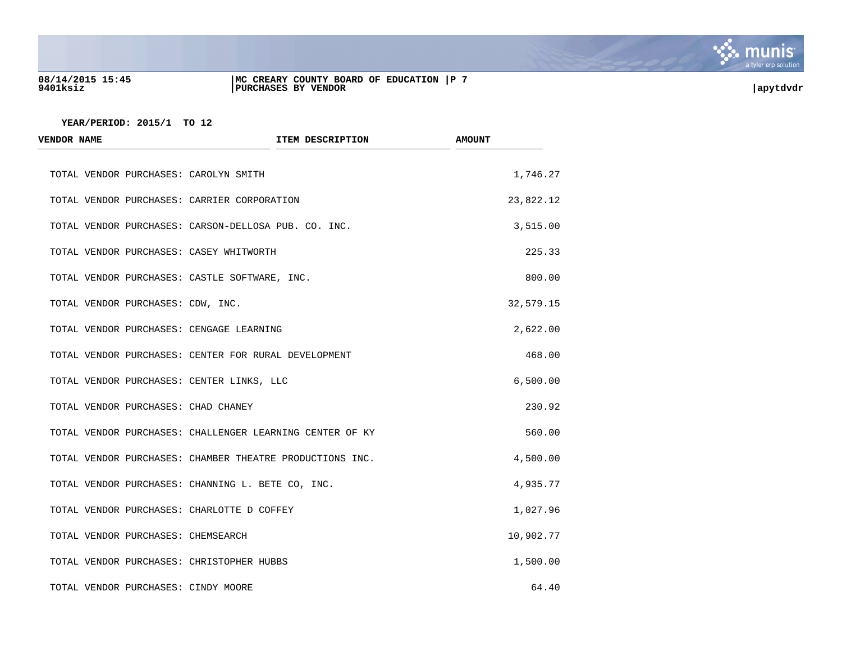

## **08/14/2015 15:45 |MC CREARY COUNTY BOARD OF EDUCATION |P 7 9401ksiz |PURCHASES BY VENDOR |apytdvdr**

| <b>VENDOR NAME</b>                            | ITEM DESCRIPTION                                         | <b>AMOUNT</b> |
|-----------------------------------------------|----------------------------------------------------------|---------------|
| TOTAL VENDOR PURCHASES: CAROLYN SMITH         |                                                          | 1,746.27      |
| TOTAL VENDOR PURCHASES: CARRIER CORPORATION   |                                                          | 23,822.12     |
|                                               | TOTAL VENDOR PURCHASES: CARSON-DELLOSA PUB. CO. INC.     | 3,515.00      |
| TOTAL VENDOR PURCHASES: CASEY WHITWORTH       |                                                          | 225.33        |
| TOTAL VENDOR PURCHASES: CASTLE SOFTWARE, INC. |                                                          | 800.00        |
| TOTAL VENDOR PURCHASES: CDW, INC.             |                                                          | 32,579.15     |
| TOTAL VENDOR PURCHASES: CENGAGE LEARNING      |                                                          | 2,622.00      |
|                                               | TOTAL VENDOR PURCHASES: CENTER FOR RURAL DEVELOPMENT     | 468.00        |
| TOTAL VENDOR PURCHASES: CENTER LINKS, LLC     |                                                          | 6,500.00      |
| TOTAL VENDOR PURCHASES: CHAD CHANEY           |                                                          | 230.92        |
|                                               | TOTAL VENDOR PURCHASES: CHALLENGER LEARNING CENTER OF KY | 560.00        |
|                                               | TOTAL VENDOR PURCHASES: CHAMBER THEATRE PRODUCTIONS INC. | 4,500.00      |
|                                               | TOTAL VENDOR PURCHASES: CHANNING L. BETE CO, INC.        | 4,935.77      |
| TOTAL VENDOR PURCHASES: CHARLOTTE D COFFEY    |                                                          | 1,027.96      |
| TOTAL VENDOR PURCHASES: CHEMSEARCH            |                                                          | 10,902.77     |
| TOTAL VENDOR PURCHASES: CHRISTOPHER HUBBS     |                                                          | 1,500.00      |
| TOTAL VENDOR PURCHASES: CINDY MOORE           |                                                          | 64.40         |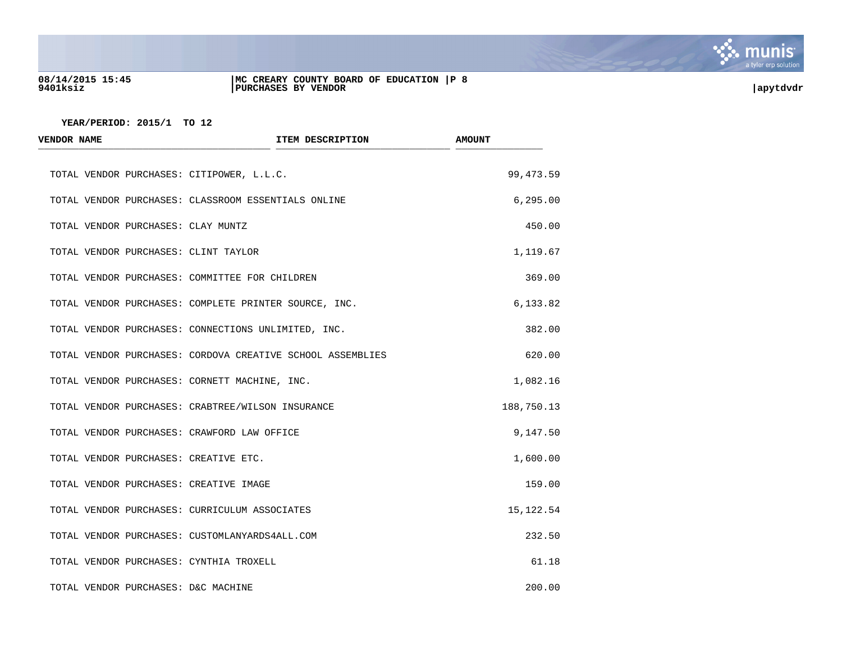

## **08/14/2015 15:45 |MC CREARY COUNTY BOARD OF EDUCATION |P 8 9401ksiz |PURCHASES BY VENDOR |apytdvdr**

| <b>VENDOR NAME</b>                        | ITEM DESCRIPTION                                           | <b>AMOUNT</b> |
|-------------------------------------------|------------------------------------------------------------|---------------|
| TOTAL VENDOR PURCHASES: CITIPOWER, L.L.C. |                                                            | 99, 473.59    |
|                                           | TOTAL VENDOR PURCHASES: CLASSROOM ESSENTIALS ONLINE        | 6, 295.00     |
| TOTAL VENDOR PURCHASES: CLAY MUNTZ        |                                                            | 450.00        |
| TOTAL VENDOR PURCHASES: CLINT TAYLOR      |                                                            | 1,119.67      |
|                                           | TOTAL VENDOR PURCHASES: COMMITTEE FOR CHILDREN             | 369.00        |
|                                           | TOTAL VENDOR PURCHASES: COMPLETE PRINTER SOURCE, INC.      | 6,133.82      |
|                                           | TOTAL VENDOR PURCHASES: CONNECTIONS UNLIMITED, INC.        | 382.00        |
|                                           | TOTAL VENDOR PURCHASES: CORDOVA CREATIVE SCHOOL ASSEMBLIES | 620.00        |
|                                           | TOTAL VENDOR PURCHASES: CORNETT MACHINE, INC.              | 1,082.16      |
|                                           | TOTAL VENDOR PURCHASES: CRABTREE/WILSON INSURANCE          | 188,750.13    |
|                                           | TOTAL VENDOR PURCHASES: CRAWFORD LAW OFFICE                | 9,147.50      |
| TOTAL VENDOR PURCHASES: CREATIVE ETC.     |                                                            | 1,600.00      |
| TOTAL VENDOR PURCHASES: CREATIVE IMAGE    |                                                            | 159.00        |
|                                           | TOTAL VENDOR PURCHASES: CURRICULUM ASSOCIATES              | 15, 122.54    |
|                                           | TOTAL VENDOR PURCHASES: CUSTOMLANYARDS4ALL.COM             | 232.50        |
| TOTAL VENDOR PURCHASES: CYNTHIA TROXELL   |                                                            | 61.18         |
| TOTAL VENDOR PURCHASES: D&C MACHINE       |                                                            | 200.00        |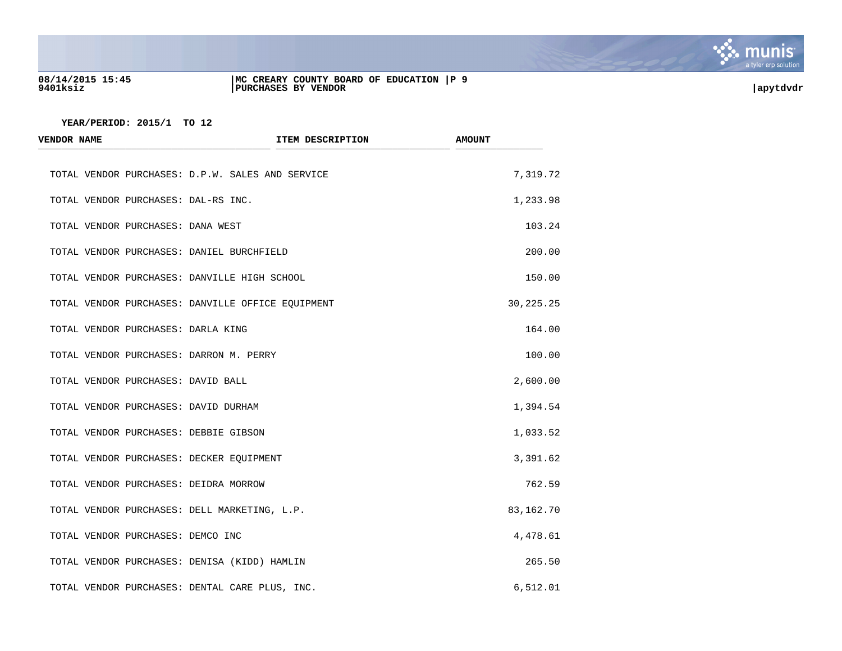

## **08/14/2015 15:45 |MC CREARY COUNTY BOARD OF EDUCATION |P 9 9401ksiz |PURCHASES BY VENDOR |apytdvdr**

| <b>VENDOR NAME</b>                  | ITEM DESCRIPTION                                  | <b>AMOUNT</b> |
|-------------------------------------|---------------------------------------------------|---------------|
|                                     | TOTAL VENDOR PURCHASES: D.P.W. SALES AND SERVICE  | 7,319.72      |
| TOTAL VENDOR PURCHASES: DAL-RS INC. |                                                   | 1,233.98      |
| TOTAL VENDOR PURCHASES: DANA WEST   |                                                   | 103.24        |
|                                     | TOTAL VENDOR PURCHASES: DANIEL BURCHFIELD         | 200.00        |
|                                     | TOTAL VENDOR PURCHASES: DANVILLE HIGH SCHOOL      | 150.00        |
|                                     | TOTAL VENDOR PURCHASES: DANVILLE OFFICE EQUIPMENT | 30, 225. 25   |
| TOTAL VENDOR PURCHASES: DARLA KING  |                                                   | 164.00        |
|                                     | TOTAL VENDOR PURCHASES: DARRON M. PERRY           | 100.00        |
| TOTAL VENDOR PURCHASES: DAVID BALL  |                                                   | 2,600.00      |
|                                     | TOTAL VENDOR PURCHASES: DAVID DURHAM              | 1,394.54      |
|                                     | TOTAL VENDOR PURCHASES: DEBBIE GIBSON             | 1,033.52      |
|                                     | TOTAL VENDOR PURCHASES: DECKER EQUIPMENT          | 3,391.62      |
|                                     | TOTAL VENDOR PURCHASES: DEIDRA MORROW             | 762.59        |
|                                     | TOTAL VENDOR PURCHASES: DELL MARKETING, L.P.      | 83,162.70     |
| TOTAL VENDOR PURCHASES: DEMCO INC   |                                                   | 4,478.61      |
|                                     | TOTAL VENDOR PURCHASES: DENISA (KIDD) HAMLIN      | 265.50        |
|                                     | TOTAL VENDOR PURCHASES: DENTAL CARE PLUS, INC.    | 6,512.01      |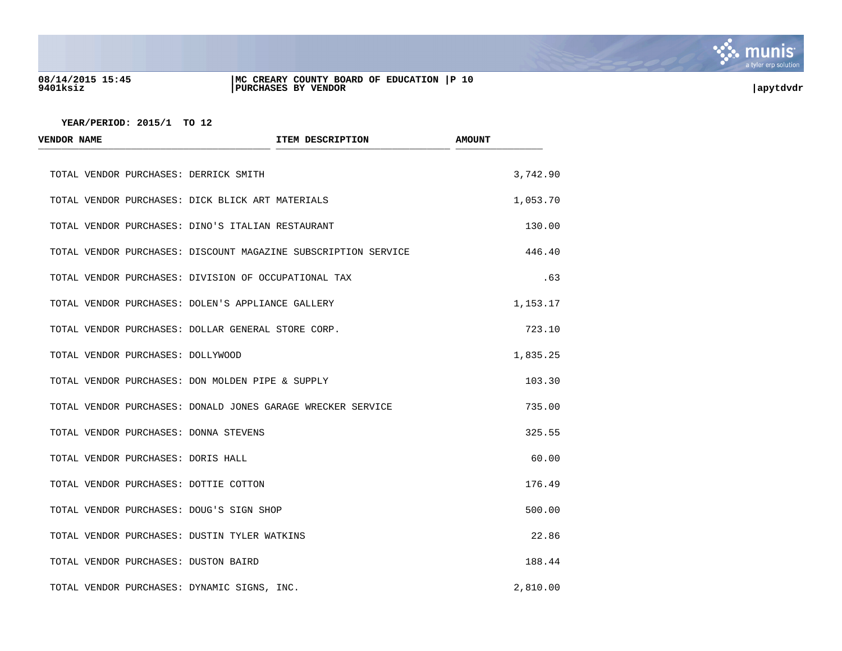

## **08/14/2015 15:45 |MC CREARY COUNTY BOARD OF EDUCATION |P 10 9401ksiz |PURCHASES BY VENDOR |apytdvdr**

| <b>VENDOR NAME</b>                   |                                                      | ITEM DESCRIPTION                                               | <b>AMOUNT</b> |
|--------------------------------------|------------------------------------------------------|----------------------------------------------------------------|---------------|
|                                      | TOTAL VENDOR PURCHASES: DERRICK SMITH                |                                                                | 3,742.90      |
|                                      | TOTAL VENDOR PURCHASES: DICK BLICK ART MATERIALS     |                                                                | 1,053.70      |
|                                      | TOTAL VENDOR PURCHASES: DINO'S ITALIAN RESTAURANT    |                                                                | 130.00        |
|                                      |                                                      | TOTAL VENDOR PURCHASES: DISCOUNT MAGAZINE SUBSCRIPTION SERVICE | 446.40        |
|                                      | TOTAL VENDOR PURCHASES: DIVISION OF OCCUPATIONAL TAX |                                                                | .63           |
|                                      | TOTAL VENDOR PURCHASES: DOLEN'S APPLIANCE GALLERY    |                                                                | 1,153.17      |
|                                      | TOTAL VENDOR PURCHASES: DOLLAR GENERAL STORE CORP.   |                                                                | 723.10        |
| TOTAL VENDOR PURCHASES: DOLLYWOOD    |                                                      |                                                                | 1,835.25      |
|                                      | TOTAL VENDOR PURCHASES: DON MOLDEN PIPE & SUPPLY     |                                                                | 103.30        |
|                                      |                                                      | TOTAL VENDOR PURCHASES: DONALD JONES GARAGE WRECKER SERVICE    | 735.00        |
|                                      | TOTAL VENDOR PURCHASES: DONNA STEVENS                |                                                                | 325.55        |
| TOTAL VENDOR PURCHASES: DORIS HALL   |                                                      |                                                                | 60.00         |
|                                      | TOTAL VENDOR PURCHASES: DOTTIE COTTON                |                                                                | 176.49        |
|                                      | TOTAL VENDOR PURCHASES: DOUG'S SIGN SHOP             |                                                                | 500.00        |
|                                      | TOTAL VENDOR PURCHASES: DUSTIN TYLER WATKINS         |                                                                | 22.86         |
| TOTAL VENDOR PURCHASES: DUSTON BAIRD |                                                      |                                                                | 188.44        |
|                                      | TOTAL VENDOR PURCHASES: DYNAMIC SIGNS, INC.          |                                                                | 2,810.00      |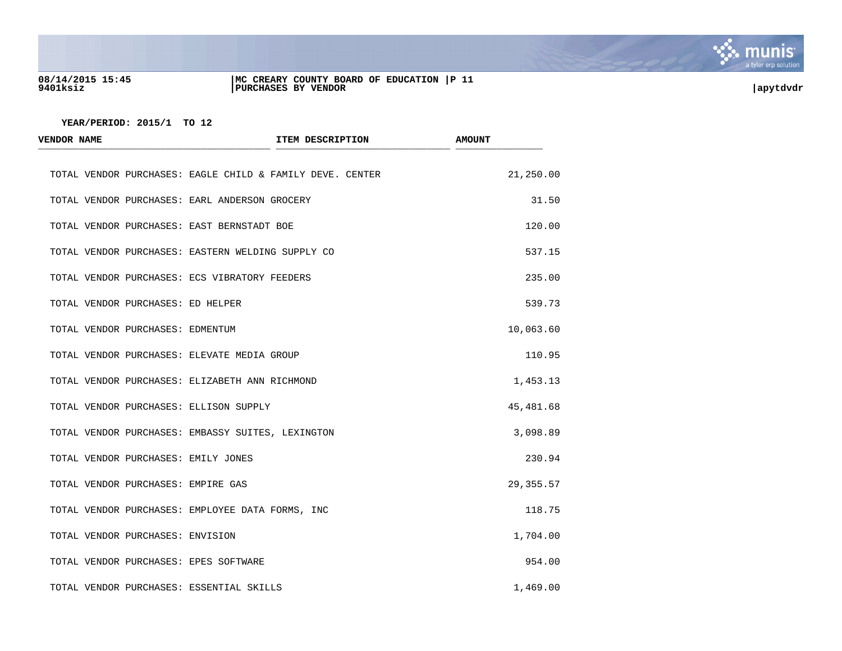

## **08/14/2015 15:45 |MC CREARY COUNTY BOARD OF EDUCATION |P 11 9401ksiz |PURCHASES BY VENDOR |apytdvdr**

| <b>VENDOR NAME</b>                          | ITEM DESCRIPTION                                          | <b>AMOUNT</b> |
|---------------------------------------------|-----------------------------------------------------------|---------------|
|                                             | TOTAL VENDOR PURCHASES: EAGLE CHILD & FAMILY DEVE. CENTER | 21,250.00     |
|                                             | TOTAL VENDOR PURCHASES: EARL ANDERSON GROCERY             | 31.50         |
| TOTAL VENDOR PURCHASES: EAST BERNSTADT BOE  |                                                           | 120.00        |
|                                             | TOTAL VENDOR PURCHASES: EASTERN WELDING SUPPLY CO         | 537.15        |
|                                             | TOTAL VENDOR PURCHASES: ECS VIBRATORY FEEDERS             | 235.00        |
| TOTAL VENDOR PURCHASES: ED HELPER           |                                                           | 539.73        |
| TOTAL VENDOR PURCHASES: EDMENTUM            |                                                           | 10,063.60     |
| TOTAL VENDOR PURCHASES: ELEVATE MEDIA GROUP |                                                           | 110.95        |
|                                             | TOTAL VENDOR PURCHASES: ELIZABETH ANN RICHMOND            | 1,453.13      |
| TOTAL VENDOR PURCHASES: ELLISON SUPPLY      |                                                           | 45,481.68     |
|                                             | TOTAL VENDOR PURCHASES: EMBASSY SUITES, LEXINGTON         | 3,098.89      |
| TOTAL VENDOR PURCHASES: EMILY JONES         |                                                           | 230.94        |
| TOTAL VENDOR PURCHASES: EMPIRE GAS          |                                                           | 29,355.57     |
|                                             | TOTAL VENDOR PURCHASES: EMPLOYEE DATA FORMS, INC          | 118.75        |
| TOTAL VENDOR PURCHASES: ENVISION            |                                                           | 1,704.00      |
| TOTAL VENDOR PURCHASES: EPES SOFTWARE       |                                                           | 954.00        |
| TOTAL VENDOR PURCHASES: ESSENTIAL SKILLS    |                                                           | 1,469.00      |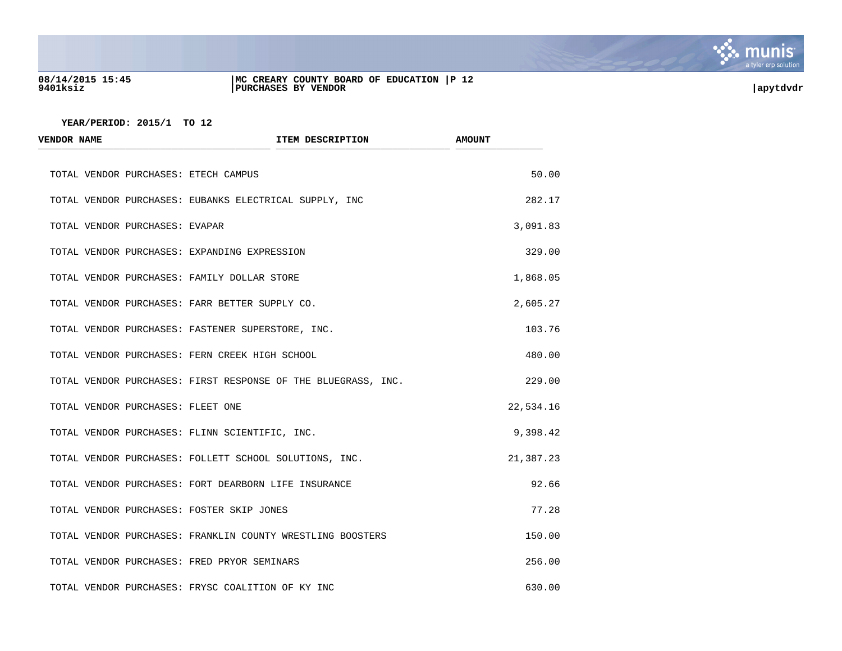

## **08/14/2015 15:45 |MC CREARY COUNTY BOARD OF EDUCATION |P 12 9401ksiz |PURCHASES BY VENDOR |apytdvdr**

| <b>VENDOR NAME</b>                           | ITEM DESCRIPTION                                              | <b>AMOUNT</b> |
|----------------------------------------------|---------------------------------------------------------------|---------------|
| TOTAL VENDOR PURCHASES: ETECH CAMPUS         |                                                               | 50.00         |
|                                              | TOTAL VENDOR PURCHASES: EUBANKS ELECTRICAL SUPPLY, INC        | 282.17        |
| TOTAL VENDOR PURCHASES: EVAPAR               |                                                               | 3,091.83      |
| TOTAL VENDOR PURCHASES: EXPANDING EXPRESSION |                                                               | 329.00        |
| TOTAL VENDOR PURCHASES: FAMILY DOLLAR STORE  |                                                               | 1,868.05      |
|                                              | TOTAL VENDOR PURCHASES: FARR BETTER SUPPLY CO.                | 2,605.27      |
|                                              | TOTAL VENDOR PURCHASES: FASTENER SUPERSTORE, INC.             | 103.76        |
|                                              | TOTAL VENDOR PURCHASES: FERN CREEK HIGH SCHOOL                | 480.00        |
|                                              | TOTAL VENDOR PURCHASES: FIRST RESPONSE OF THE BLUEGRASS, INC. | 229.00        |
| TOTAL VENDOR PURCHASES: FLEET ONE            |                                                               | 22,534.16     |
|                                              | TOTAL VENDOR PURCHASES: FLINN SCIENTIFIC, INC.                | 9,398.42      |
|                                              | TOTAL VENDOR PURCHASES: FOLLETT SCHOOL SOLUTIONS, INC.        | 21,387.23     |
|                                              | TOTAL VENDOR PURCHASES: FORT DEARBORN LIFE INSURANCE          | 92.66         |
| TOTAL VENDOR PURCHASES: FOSTER SKIP JONES    |                                                               | 77.28         |
|                                              | TOTAL VENDOR PURCHASES: FRANKLIN COUNTY WRESTLING BOOSTERS    | 150.00        |
| TOTAL VENDOR PURCHASES: FRED PRYOR SEMINARS  |                                                               | 256.00        |
|                                              | TOTAL VENDOR PURCHASES: FRYSC COALITION OF KY INC             | 630.00        |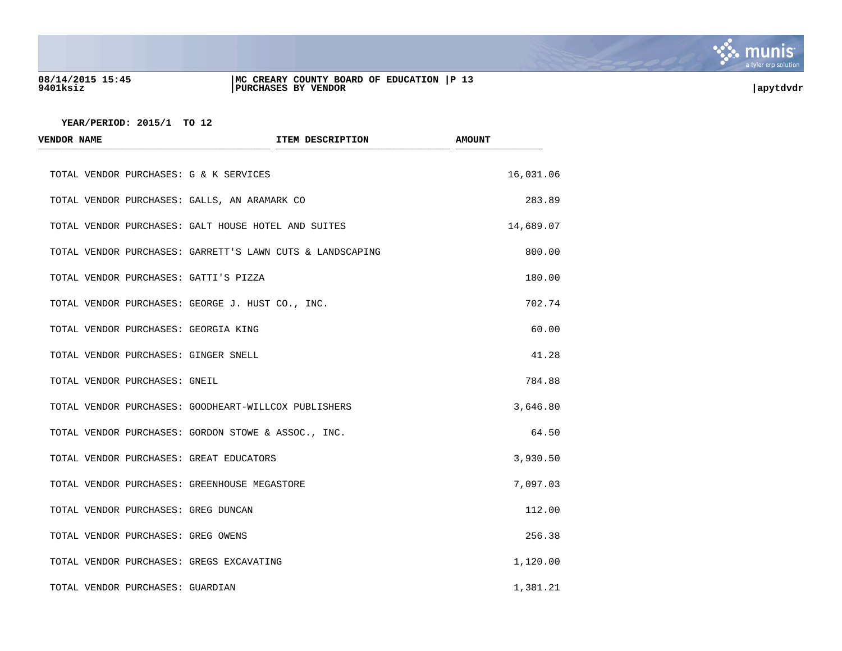

## **08/14/2015 15:45 |MC CREARY COUNTY BOARD OF EDUCATION |P 13 9401ksiz |PURCHASES BY VENDOR |apytdvdr**

| ITEM DESCRIPTION<br><b>VENDOR NAME</b>                    |  | <b>AMOUNT</b> |  |
|-----------------------------------------------------------|--|---------------|--|
| TOTAL VENDOR PURCHASES: G & K SERVICES                    |  | 16,031.06     |  |
| TOTAL VENDOR PURCHASES: GALLS, AN ARAMARK CO              |  | 283.89        |  |
| TOTAL VENDOR PURCHASES: GALT HOUSE HOTEL AND SUITES       |  | 14,689.07     |  |
| TOTAL VENDOR PURCHASES: GARRETT'S LAWN CUTS & LANDSCAPING |  | 800.00        |  |
| TOTAL VENDOR PURCHASES: GATTI'S PIZZA                     |  | 180.00        |  |
| TOTAL VENDOR PURCHASES: GEORGE J. HUST CO., INC.          |  | 702.74        |  |
| TOTAL VENDOR PURCHASES: GEORGIA KING                      |  | 60.00         |  |
| TOTAL VENDOR PURCHASES: GINGER SNELL                      |  | 41.28         |  |
| TOTAL VENDOR PURCHASES: GNEIL                             |  | 784.88        |  |
| TOTAL VENDOR PURCHASES: GOODHEART-WILLCOX PUBLISHERS      |  | 3,646.80      |  |
| TOTAL VENDOR PURCHASES: GORDON STOWE & ASSOC., INC.       |  | 64.50         |  |
| TOTAL VENDOR PURCHASES: GREAT EDUCATORS                   |  | 3,930.50      |  |
| TOTAL VENDOR PURCHASES: GREENHOUSE MEGASTORE              |  | 7,097.03      |  |
| TOTAL VENDOR PURCHASES: GREG DUNCAN                       |  | 112.00        |  |
| TOTAL VENDOR PURCHASES: GREG OWENS                        |  | 256.38        |  |
| TOTAL VENDOR PURCHASES: GREGS EXCAVATING                  |  | 1,120.00      |  |
| TOTAL VENDOR PURCHASES: GUARDIAN                          |  | 1,381.21      |  |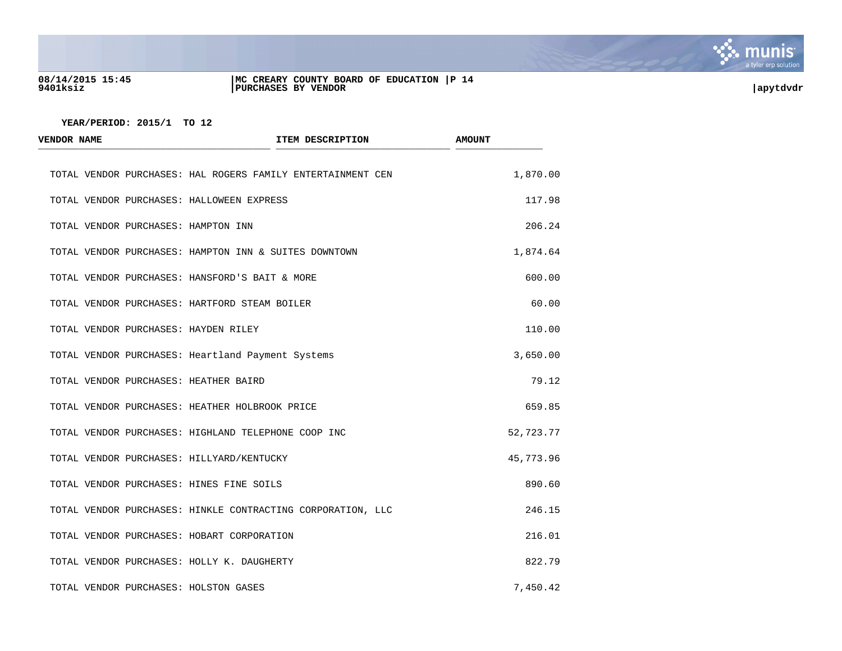

## **08/14/2015 15:45 |MC CREARY COUNTY BOARD OF EDUCATION |P 14 9401ksiz |PURCHASES BY VENDOR |apytdvdr**

| <b>VENDOR NAME</b> |  | ITEM DESCRIPTION                                            | <b>AMOUNT</b> |
|--------------------|--|-------------------------------------------------------------|---------------|
|                    |  | TOTAL VENDOR PURCHASES: HAL ROGERS FAMILY ENTERTAINMENT CEN | 1,870.00      |
|                    |  | TOTAL VENDOR PURCHASES: HALLOWEEN EXPRESS                   | 117.98        |
|                    |  | TOTAL VENDOR PURCHASES: HAMPTON INN                         | 206.24        |
|                    |  | TOTAL VENDOR PURCHASES: HAMPTON INN & SUITES DOWNTOWN       | 1,874.64      |
|                    |  | TOTAL VENDOR PURCHASES: HANSFORD'S BAIT & MORE              | 600.00        |
|                    |  | TOTAL VENDOR PURCHASES: HARTFORD STEAM BOILER               | 60.00         |
|                    |  | TOTAL VENDOR PURCHASES: HAYDEN RILEY                        | 110.00        |
|                    |  | TOTAL VENDOR PURCHASES: Heartland Payment Systems           | 3,650.00      |
|                    |  | TOTAL VENDOR PURCHASES: HEATHER BAIRD                       | 79.12         |
|                    |  | TOTAL VENDOR PURCHASES: HEATHER HOLBROOK PRICE              | 659.85        |
|                    |  | TOTAL VENDOR PURCHASES: HIGHLAND TELEPHONE COOP INC         | 52,723.77     |
|                    |  | TOTAL VENDOR PURCHASES: HILLYARD/KENTUCKY                   | 45,773.96     |
|                    |  | TOTAL VENDOR PURCHASES: HINES FINE SOILS                    | 890.60        |
|                    |  | TOTAL VENDOR PURCHASES: HINKLE CONTRACTING CORPORATION, LLC | 246.15        |
|                    |  | TOTAL VENDOR PURCHASES: HOBART CORPORATION                  | 216.01        |
|                    |  | TOTAL VENDOR PURCHASES: HOLLY K. DAUGHERTY                  | 822.79        |
|                    |  | TOTAL VENDOR PURCHASES: HOLSTON GASES                       | 7,450.42      |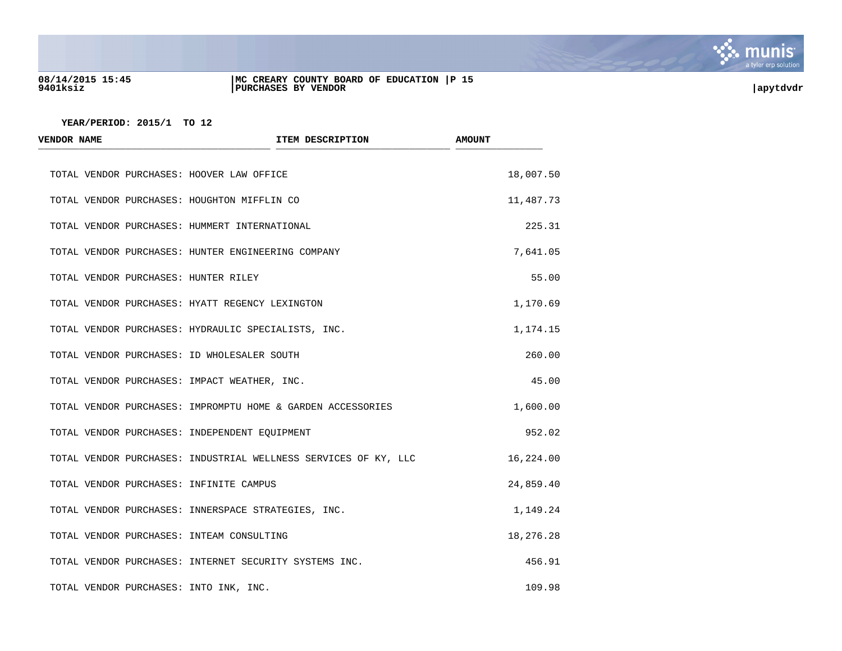

## **08/14/2015 15:45 |MC CREARY COUNTY BOARD OF EDUCATION |P 15 9401ksiz |PURCHASES BY VENDOR |apytdvdr**

| <b>VENDOR NAME</b> | ITEM DESCRIPTION                                                | <b>AMOUNT</b> |
|--------------------|-----------------------------------------------------------------|---------------|
|                    | TOTAL VENDOR PURCHASES: HOOVER LAW OFFICE                       | 18,007.50     |
|                    | TOTAL VENDOR PURCHASES: HOUGHTON MIFFLIN CO                     | 11,487.73     |
|                    | TOTAL VENDOR PURCHASES: HUMMERT INTERNATIONAL                   | 225.31        |
|                    | TOTAL VENDOR PURCHASES: HUNTER ENGINEERING COMPANY              | 7,641.05      |
|                    | TOTAL VENDOR PURCHASES: HUNTER RILEY                            | 55.00         |
|                    | TOTAL VENDOR PURCHASES: HYATT REGENCY LEXINGTON                 | 1,170.69      |
|                    | TOTAL VENDOR PURCHASES: HYDRAULIC SPECIALISTS, INC.             | 1,174.15      |
|                    | TOTAL VENDOR PURCHASES: ID WHOLESALER SOUTH                     | 260.00        |
|                    | TOTAL VENDOR PURCHASES: IMPACT WEATHER, INC.                    | 45.00         |
|                    | TOTAL VENDOR PURCHASES: IMPROMPTU HOME & GARDEN ACCESSORIES     | 1,600.00      |
|                    | TOTAL VENDOR PURCHASES: INDEPENDENT EQUIPMENT                   | 952.02        |
|                    | TOTAL VENDOR PURCHASES: INDUSTRIAL WELLNESS SERVICES OF KY, LLC | 16,224.00     |
|                    | TOTAL VENDOR PURCHASES: INFINITE CAMPUS                         | 24,859.40     |
|                    | TOTAL VENDOR PURCHASES: INNERSPACE STRATEGIES, INC.             | 1,149.24      |
|                    | TOTAL VENDOR PURCHASES: INTEAM CONSULTING                       | 18,276.28     |
|                    | TOTAL VENDOR PURCHASES: INTERNET SECURITY SYSTEMS INC.          | 456.91        |
|                    | TOTAL VENDOR PURCHASES: INTO INK, INC.                          | 109.98        |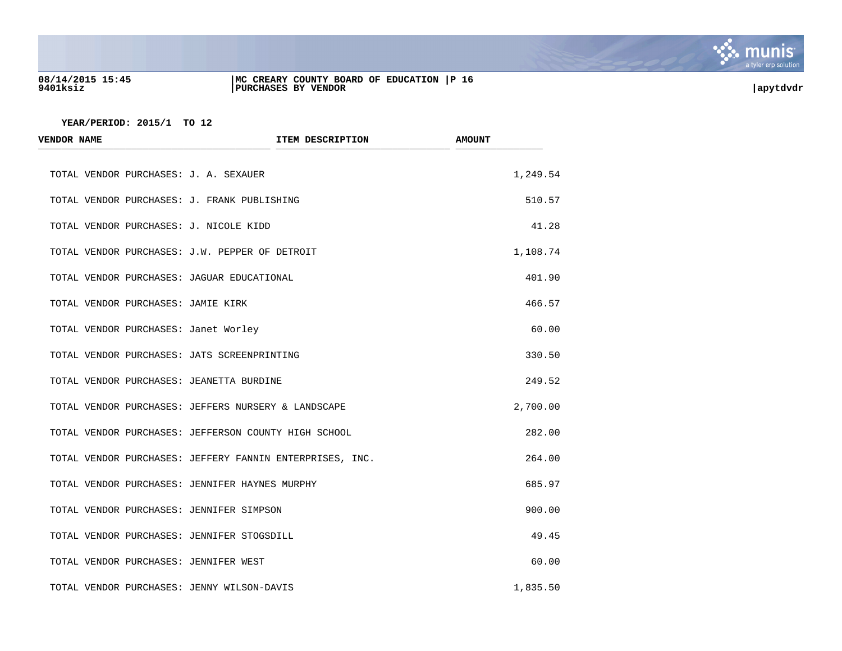

## **08/14/2015 15:45 |MC CREARY COUNTY BOARD OF EDUCATION |P 16 9401ksiz |PURCHASES BY VENDOR |apytdvdr**

| <b>VENDOR NAME</b>                             | ITEM DESCRIPTION                                         | <b>AMOUNT</b> |
|------------------------------------------------|----------------------------------------------------------|---------------|
| TOTAL VENDOR PURCHASES: J. A. SEXAUER          |                                                          | 1,249.54      |
| TOTAL VENDOR PURCHASES: J. FRANK PUBLISHING    |                                                          | 510.57        |
| TOTAL VENDOR PURCHASES: J. NICOLE KIDD         |                                                          | 41.28         |
| TOTAL VENDOR PURCHASES: J.W. PEPPER OF DETROIT |                                                          | 1,108.74      |
| TOTAL VENDOR PURCHASES: JAGUAR EDUCATIONAL     |                                                          | 401.90        |
| TOTAL VENDOR PURCHASES: JAMIE KIRK             |                                                          | 466.57        |
| TOTAL VENDOR PURCHASES: Janet Worley           |                                                          | 60.00         |
| TOTAL VENDOR PURCHASES: JATS SCREENPRINTING    |                                                          | 330.50        |
| TOTAL VENDOR PURCHASES: JEANETTA BURDINE       |                                                          | 249.52        |
|                                                | TOTAL VENDOR PURCHASES: JEFFERS NURSERY & LANDSCAPE      | 2,700.00      |
|                                                | TOTAL VENDOR PURCHASES: JEFFERSON COUNTY HIGH SCHOOL     | 282.00        |
|                                                | TOTAL VENDOR PURCHASES: JEFFERY FANNIN ENTERPRISES, INC. | 264.00        |
| TOTAL VENDOR PURCHASES: JENNIFER HAYNES MURPHY |                                                          | 685.97        |
| TOTAL VENDOR PURCHASES: JENNIFER SIMPSON       |                                                          | 900.00        |
| TOTAL VENDOR PURCHASES: JENNIFER STOGSDILL     |                                                          | 49.45         |
| TOTAL VENDOR PURCHASES: JENNIFER WEST          |                                                          | 60.00         |
| TOTAL VENDOR PURCHASES: JENNY WILSON-DAVIS     |                                                          | 1,835.50      |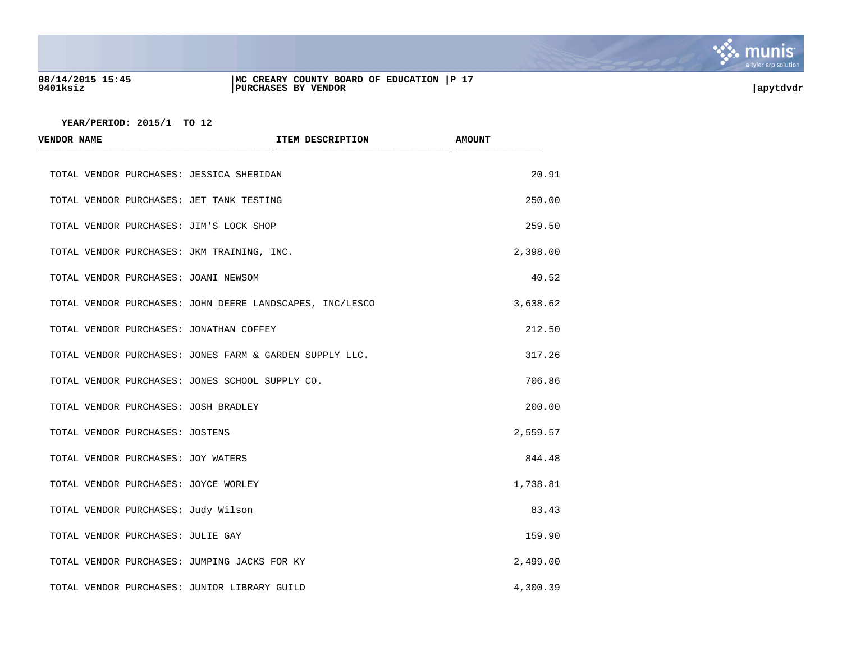

## **08/14/2015 15:45 |MC CREARY COUNTY BOARD OF EDUCATION |P 17 9401ksiz |PURCHASES BY VENDOR |apytdvdr**

| <b>VENDOR NAME</b>                   | ITEM DESCRIPTION                                         | <b>AMOUNT</b> |
|--------------------------------------|----------------------------------------------------------|---------------|
|                                      | TOTAL VENDOR PURCHASES: JESSICA SHERIDAN                 | 20.91         |
|                                      | TOTAL VENDOR PURCHASES: JET TANK TESTING                 | 250.00        |
|                                      | TOTAL VENDOR PURCHASES: JIM'S LOCK SHOP                  | 259.50        |
|                                      | TOTAL VENDOR PURCHASES: JKM TRAINING, INC.               | 2,398.00      |
| TOTAL VENDOR PURCHASES: JOANI NEWSOM |                                                          | 40.52         |
|                                      | TOTAL VENDOR PURCHASES: JOHN DEERE LANDSCAPES, INC/LESCO | 3,638.62      |
|                                      | TOTAL VENDOR PURCHASES: JONATHAN COFFEY                  | 212.50        |
|                                      | TOTAL VENDOR PURCHASES: JONES FARM & GARDEN SUPPLY LLC.  | 317.26        |
|                                      | TOTAL VENDOR PURCHASES: JONES SCHOOL SUPPLY CO.          | 706.86        |
| TOTAL VENDOR PURCHASES: JOSH BRADLEY |                                                          | 200.00        |
| TOTAL VENDOR PURCHASES: JOSTENS      |                                                          | 2,559.57      |
| TOTAL VENDOR PURCHASES: JOY WATERS   |                                                          | 844.48        |
| TOTAL VENDOR PURCHASES: JOYCE WORLEY |                                                          | 1,738.81      |
| TOTAL VENDOR PURCHASES: Judy Wilson  |                                                          | 83.43         |
| TOTAL VENDOR PURCHASES: JULIE GAY    |                                                          | 159.90        |
|                                      | TOTAL VENDOR PURCHASES: JUMPING JACKS FOR KY             | 2,499.00      |
|                                      | TOTAL VENDOR PURCHASES: JUNIOR LIBRARY GUILD             | 4,300.39      |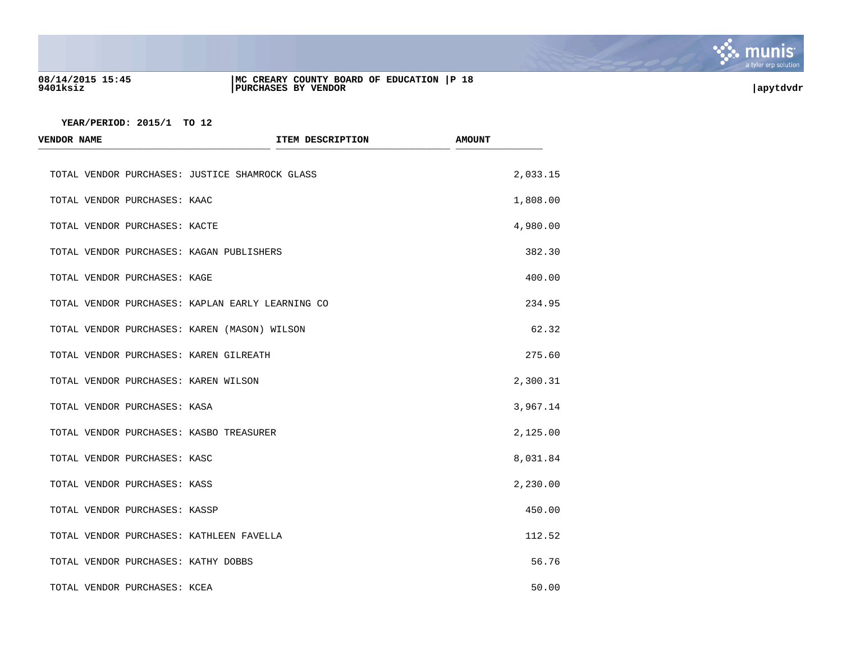

## **08/14/2015 15:45 |MC CREARY COUNTY BOARD OF EDUCATION |P 18 9401ksiz |PURCHASES BY VENDOR |apytdvdr**

| <b>VENDOR NAME</b>                               | ITEM DESCRIPTION | <b>AMOUNT</b> |
|--------------------------------------------------|------------------|---------------|
| TOTAL VENDOR PURCHASES: JUSTICE SHAMROCK GLASS   |                  | 2,033.15      |
| TOTAL VENDOR PURCHASES: KAAC                     |                  | 1,808.00      |
| TOTAL VENDOR PURCHASES: KACTE                    |                  | 4,980.00      |
| TOTAL VENDOR PURCHASES: KAGAN PUBLISHERS         |                  | 382.30        |
| TOTAL VENDOR PURCHASES: KAGE                     |                  | 400.00        |
| TOTAL VENDOR PURCHASES: KAPLAN EARLY LEARNING CO |                  | 234.95        |
| TOTAL VENDOR PURCHASES: KAREN (MASON) WILSON     |                  | 62.32         |
| TOTAL VENDOR PURCHASES: KAREN GILREATH           |                  | 275.60        |
| TOTAL VENDOR PURCHASES: KAREN WILSON             |                  | 2,300.31      |
| TOTAL VENDOR PURCHASES: KASA                     |                  | 3,967.14      |
| TOTAL VENDOR PURCHASES: KASBO TREASURER          |                  | 2,125.00      |
| TOTAL VENDOR PURCHASES: KASC                     |                  | 8,031.84      |
| TOTAL VENDOR PURCHASES: KASS                     |                  | 2,230.00      |
| TOTAL VENDOR PURCHASES: KASSP                    |                  | 450.00        |
| TOTAL VENDOR PURCHASES: KATHLEEN FAVELLA         |                  | 112.52        |
| TOTAL VENDOR PURCHASES: KATHY DOBBS              |                  | 56.76         |
| TOTAL VENDOR PURCHASES: KCEA                     |                  | 50.00         |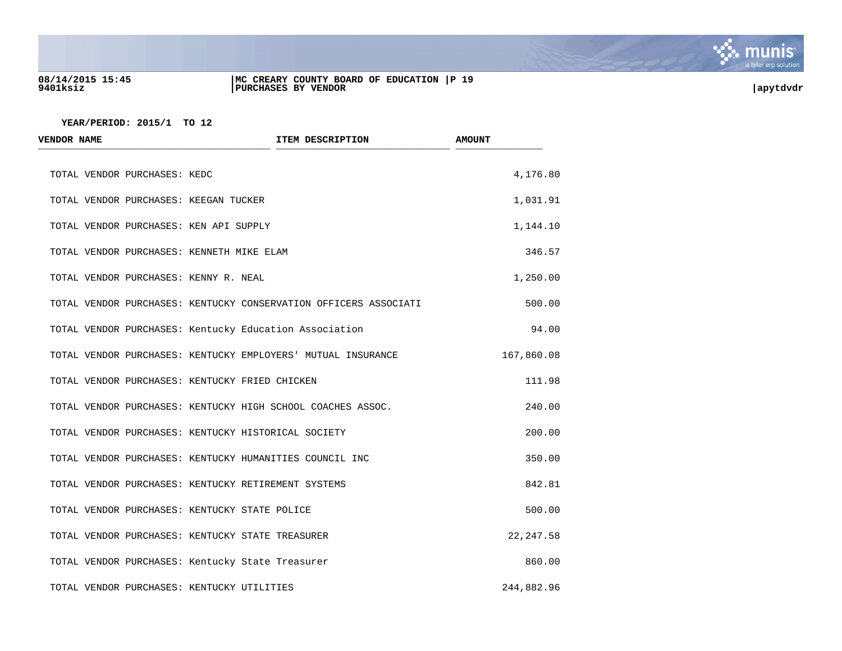

## **08/14/2015 15:45 |MC CREARY COUNTY BOARD OF EDUCATION |P 19 9401ksiz |PURCHASES BY VENDOR |apytdvdr**

| <b>VENDOR NAME</b>                             | ITEM DESCRIPTION                                                 | <b>AMOUNT</b> |
|------------------------------------------------|------------------------------------------------------------------|---------------|
| TOTAL VENDOR PURCHASES: KEDC                   |                                                                  | 4,176.80      |
| TOTAL VENDOR PURCHASES: KEEGAN TUCKER          |                                                                  | 1,031.91      |
| TOTAL VENDOR PURCHASES: KEN API SUPPLY         |                                                                  | 1,144.10      |
| TOTAL VENDOR PURCHASES: KENNETH MIKE ELAM      |                                                                  | 346.57        |
| TOTAL VENDOR PURCHASES: KENNY R. NEAL          |                                                                  | 1,250.00      |
|                                                | TOTAL VENDOR PURCHASES: KENTUCKY CONSERVATION OFFICERS ASSOCIATI | 500.00        |
|                                                | TOTAL VENDOR PURCHASES: Kentucky Education Association           | 94.00         |
|                                                | TOTAL VENDOR PURCHASES: KENTUCKY EMPLOYERS' MUTUAL INSURANCE     | 167,860.08    |
| TOTAL VENDOR PURCHASES: KENTUCKY FRIED CHICKEN |                                                                  | 111.98        |
|                                                | TOTAL VENDOR PURCHASES: KENTUCKY HIGH SCHOOL COACHES ASSOC.      | 240.00        |
|                                                | TOTAL VENDOR PURCHASES: KENTUCKY HISTORICAL SOCIETY              | 200.00        |
|                                                | TOTAL VENDOR PURCHASES: KENTUCKY HUMANITIES COUNCIL INC          | 350.00        |
|                                                | TOTAL VENDOR PURCHASES: KENTUCKY RETIREMENT SYSTEMS              | 842.81        |
| TOTAL VENDOR PURCHASES: KENTUCKY STATE POLICE  |                                                                  | 500.00        |
|                                                | TOTAL VENDOR PURCHASES: KENTUCKY STATE TREASURER                 | 22, 247.58    |
|                                                | TOTAL VENDOR PURCHASES: Kentucky State Treasurer                 | 860.00        |
| TOTAL VENDOR PURCHASES: KENTUCKY UTILITIES     |                                                                  | 244,882.96    |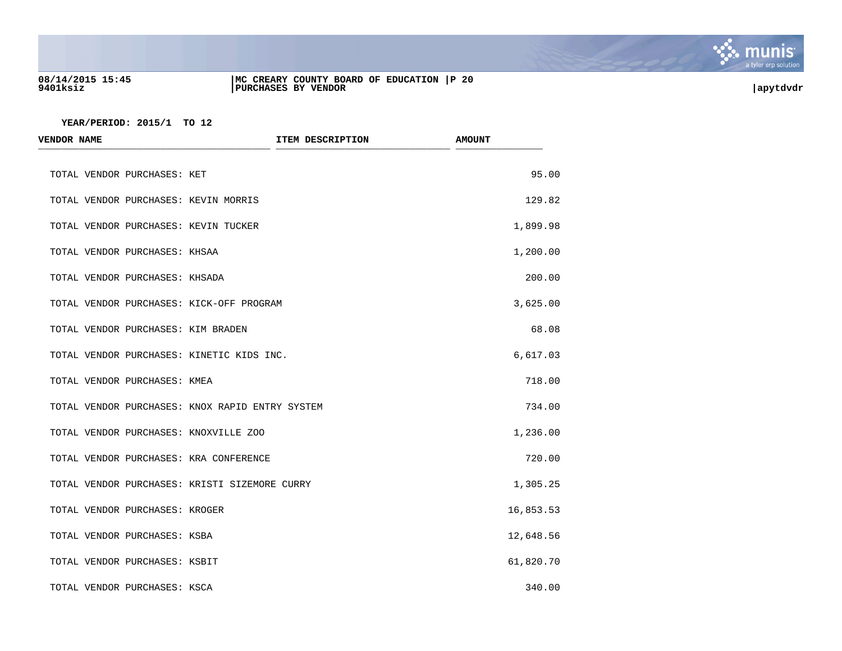

## **08/14/2015 15:45 |MC CREARY COUNTY BOARD OF EDUCATION |P 20 9401ksiz |PURCHASES BY VENDOR |apytdvdr**

| <b>VENDOR NAME</b>             |                                                 | ITEM DESCRIPTION | <b>AMOUNT</b> |
|--------------------------------|-------------------------------------------------|------------------|---------------|
| TOTAL VENDOR PURCHASES: KET    |                                                 |                  | 95.00         |
|                                | TOTAL VENDOR PURCHASES: KEVIN MORRIS            |                  | 129.82        |
|                                | TOTAL VENDOR PURCHASES: KEVIN TUCKER            |                  | 1,899.98      |
| TOTAL VENDOR PURCHASES: KHSAA  |                                                 |                  | 1,200.00      |
| TOTAL VENDOR PURCHASES: KHSADA |                                                 |                  | 200.00        |
|                                | TOTAL VENDOR PURCHASES: KICK-OFF PROGRAM        |                  | 3,625.00      |
|                                | TOTAL VENDOR PURCHASES: KIM BRADEN              |                  | 68.08         |
|                                | TOTAL VENDOR PURCHASES: KINETIC KIDS INC.       |                  | 6,617.03      |
| TOTAL VENDOR PURCHASES: KMEA   |                                                 |                  | 718.00        |
|                                | TOTAL VENDOR PURCHASES: KNOX RAPID ENTRY SYSTEM |                  | 734.00        |
|                                | TOTAL VENDOR PURCHASES: KNOXVILLE ZOO           |                  | 1,236.00      |
|                                | TOTAL VENDOR PURCHASES: KRA CONFERENCE          |                  | 720.00        |
|                                | TOTAL VENDOR PURCHASES: KRISTI SIZEMORE CURRY   |                  | 1,305.25      |
| TOTAL VENDOR PURCHASES: KROGER |                                                 |                  | 16,853.53     |
| TOTAL VENDOR PURCHASES: KSBA   |                                                 |                  | 12,648.56     |
| TOTAL VENDOR PURCHASES: KSBIT  |                                                 |                  | 61,820.70     |
| TOTAL VENDOR PURCHASES: KSCA   |                                                 |                  | 340.00        |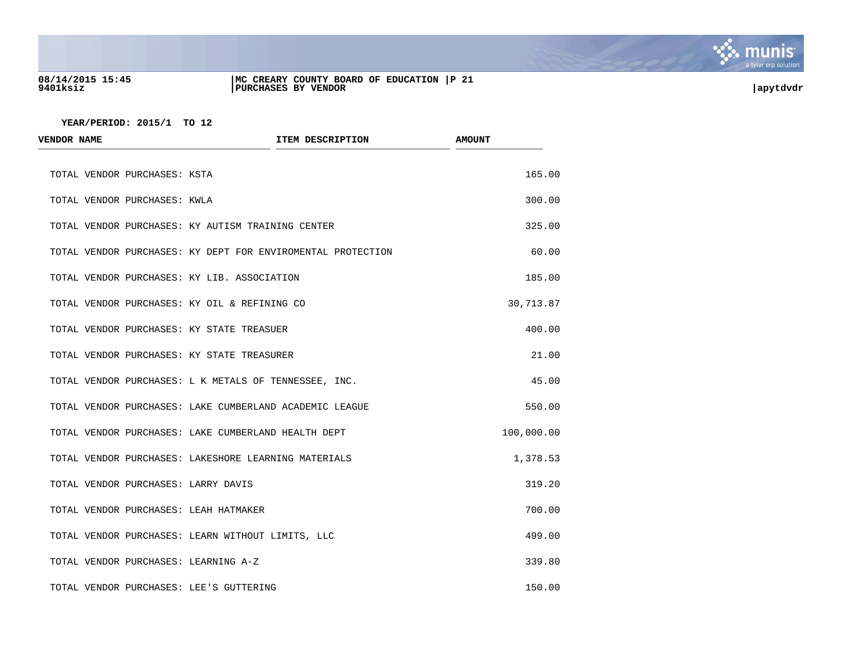

## **08/14/2015 15:45 |MC CREARY COUNTY BOARD OF EDUCATION |P 21 9401ksiz |PURCHASES BY VENDOR |apytdvdr**

| <b>VENDOR NAME</b>           |                                                             | ITEM DESCRIPTION | <b>AMOUNT</b> |
|------------------------------|-------------------------------------------------------------|------------------|---------------|
| TOTAL VENDOR PURCHASES: KSTA |                                                             |                  | 165.00        |
| TOTAL VENDOR PURCHASES: KWLA |                                                             |                  | 300.00        |
|                              | TOTAL VENDOR PURCHASES: KY AUTISM TRAINING CENTER           |                  | 325.00        |
|                              | TOTAL VENDOR PURCHASES: KY DEPT FOR ENVIROMENTAL PROTECTION |                  | 60.00         |
|                              | TOTAL VENDOR PURCHASES: KY LIB. ASSOCIATION                 |                  | 185.00        |
|                              | TOTAL VENDOR PURCHASES: KY OIL & REFINING CO                |                  | 30,713.87     |
|                              | TOTAL VENDOR PURCHASES: KY STATE TREASUER                   |                  | 400.00        |
|                              | TOTAL VENDOR PURCHASES: KY STATE TREASURER                  |                  | 21.00         |
|                              | TOTAL VENDOR PURCHASES: L K METALS OF TENNESSEE, INC.       |                  | 45.00         |
|                              | TOTAL VENDOR PURCHASES: LAKE CUMBERLAND ACADEMIC LEAGUE     |                  | 550.00        |
|                              | TOTAL VENDOR PURCHASES: LAKE CUMBERLAND HEALTH DEPT         |                  | 100,000.00    |
|                              | TOTAL VENDOR PURCHASES: LAKESHORE LEARNING MATERIALS        |                  | 1,378.53      |
|                              | TOTAL VENDOR PURCHASES: LARRY DAVIS                         |                  | 319.20        |
|                              | TOTAL VENDOR PURCHASES: LEAH HATMAKER                       |                  | 700.00        |
|                              | TOTAL VENDOR PURCHASES: LEARN WITHOUT LIMITS, LLC           |                  | 499.00        |
|                              | TOTAL VENDOR PURCHASES: LEARNING A-Z                        |                  | 339.80        |
|                              | TOTAL VENDOR PURCHASES: LEE'S GUTTERING                     |                  | 150.00        |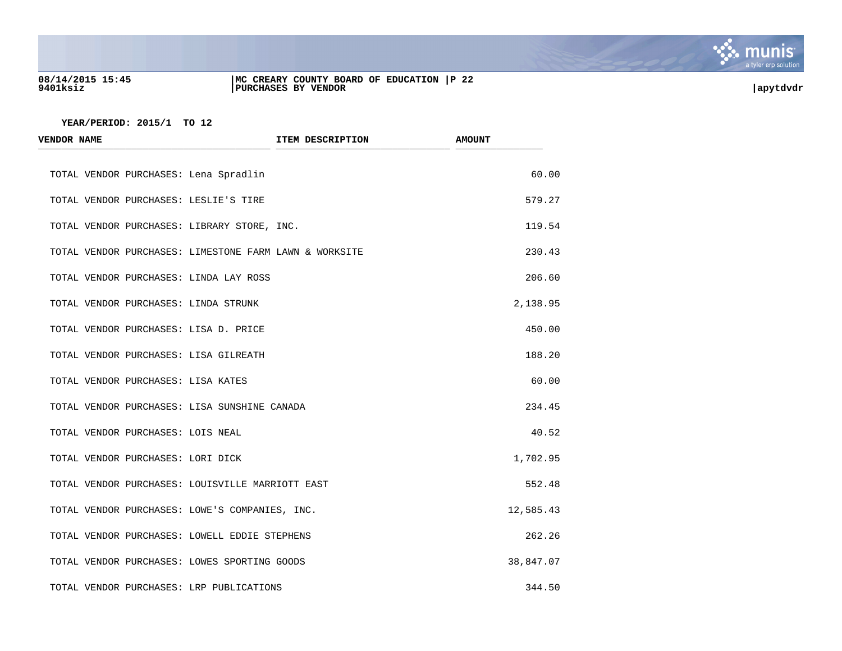

## **08/14/2015 15:45 |MC CREARY COUNTY BOARD OF EDUCATION |P 22 9401ksiz |PURCHASES BY VENDOR |apytdvdr**

| <b>VENDOR NAME</b>                                     | ITEM DESCRIPTION | <b>AMOUNT</b> |
|--------------------------------------------------------|------------------|---------------|
| TOTAL VENDOR PURCHASES: Lena Spradlin                  |                  | 60.00         |
| TOTAL VENDOR PURCHASES: LESLIE'S TIRE                  |                  | 579.27        |
| TOTAL VENDOR PURCHASES: LIBRARY STORE, INC.            |                  | 119.54        |
| TOTAL VENDOR PURCHASES: LIMESTONE FARM LAWN & WORKSITE |                  | 230.43        |
| TOTAL VENDOR PURCHASES: LINDA LAY ROSS                 |                  | 206.60        |
| TOTAL VENDOR PURCHASES: LINDA STRUNK                   |                  | 2,138.95      |
| TOTAL VENDOR PURCHASES: LISA D. PRICE                  |                  | 450.00        |
| TOTAL VENDOR PURCHASES: LISA GILREATH                  |                  | 188.20        |
| TOTAL VENDOR PURCHASES: LISA KATES                     |                  | 60.00         |
| TOTAL VENDOR PURCHASES: LISA SUNSHINE CANADA           |                  | 234.45        |
| TOTAL VENDOR PURCHASES: LOIS NEAL                      |                  | 40.52         |
| TOTAL VENDOR PURCHASES: LORI DICK                      |                  | 1,702.95      |
| TOTAL VENDOR PURCHASES: LOUISVILLE MARRIOTT EAST       |                  | 552.48        |
| TOTAL VENDOR PURCHASES: LOWE'S COMPANIES, INC.         |                  | 12,585.43     |
| TOTAL VENDOR PURCHASES: LOWELL EDDIE STEPHENS          |                  | 262.26        |
| TOTAL VENDOR PURCHASES: LOWES SPORTING GOODS           |                  | 38,847.07     |
| TOTAL VENDOR PURCHASES: LRP PUBLICATIONS               |                  | 344.50        |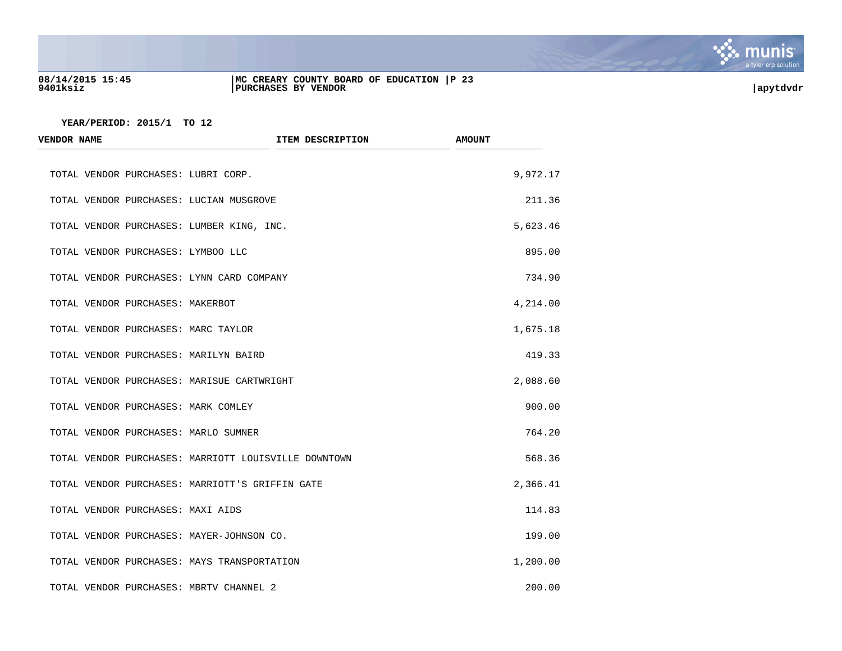

# **08/14/2015 15:45 |MC CREARY COUNTY BOARD OF EDUCATION |P 23 9401ksiz |PURCHASES BY VENDOR |apytdvdr**

| <b>VENDOR NAME</b>                                   | ITEM DESCRIPTION | <b>AMOUNT</b> |
|------------------------------------------------------|------------------|---------------|
| TOTAL VENDOR PURCHASES: LUBRI CORP.                  |                  | 9,972.17      |
| TOTAL VENDOR PURCHASES: LUCIAN MUSGROVE              |                  | 211.36        |
| TOTAL VENDOR PURCHASES: LUMBER KING, INC.            |                  | 5,623.46      |
| TOTAL VENDOR PURCHASES: LYMBOO LLC                   |                  | 895.00        |
| TOTAL VENDOR PURCHASES: LYNN CARD COMPANY            |                  | 734.90        |
| TOTAL VENDOR PURCHASES: MAKERBOT                     |                  | 4,214.00      |
| TOTAL VENDOR PURCHASES: MARC TAYLOR                  |                  | 1,675.18      |
| TOTAL VENDOR PURCHASES: MARILYN BAIRD                |                  | 419.33        |
| TOTAL VENDOR PURCHASES: MARISUE CARTWRIGHT           |                  | 2,088.60      |
| TOTAL VENDOR PURCHASES: MARK COMLEY                  |                  | 900.00        |
| TOTAL VENDOR PURCHASES: MARLO SUMNER                 |                  | 764.20        |
| TOTAL VENDOR PURCHASES: MARRIOTT LOUISVILLE DOWNTOWN |                  | 568.36        |
| TOTAL VENDOR PURCHASES: MARRIOTT'S GRIFFIN GATE      |                  | 2,366.41      |
| TOTAL VENDOR PURCHASES: MAXI AIDS                    |                  | 114.83        |
| TOTAL VENDOR PURCHASES: MAYER-JOHNSON CO.            |                  | 199.00        |
| TOTAL VENDOR PURCHASES: MAYS TRANSPORTATION          |                  | 1,200.00      |
| TOTAL VENDOR PURCHASES: MBRTV CHANNEL 2              |                  | 200.00        |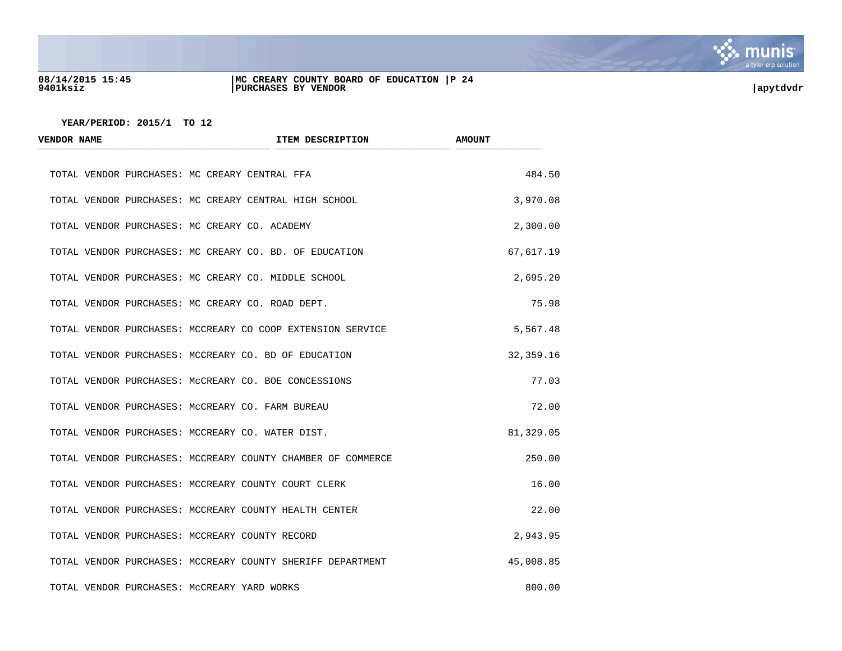

### **08/14/2015 15:45 |MC CREARY COUNTY BOARD OF EDUCATION |P 24 9401ksiz |PURCHASES BY VENDOR |apytdvdr**

| <b>VENDOR NAME</b> | <b>ITEM DESCRIPTION</b>                                     | <b>AMOUNT</b> |
|--------------------|-------------------------------------------------------------|---------------|
|                    | TOTAL VENDOR PURCHASES: MC CREARY CENTRAL FFA               | 484.50        |
|                    | TOTAL VENDOR PURCHASES: MC CREARY CENTRAL HIGH SCHOOL       | 3,970.08      |
|                    | TOTAL VENDOR PURCHASES: MC CREARY CO. ACADEMY               | 2,300.00      |
|                    | TOTAL VENDOR PURCHASES: MC CREARY CO. BD. OF EDUCATION      | 67,617.19     |
|                    | TOTAL VENDOR PURCHASES: MC CREARY CO. MIDDLE SCHOOL         | 2,695.20      |
|                    | TOTAL VENDOR PURCHASES: MC CREARY CO. ROAD DEPT.            | 75.98         |
|                    | TOTAL VENDOR PURCHASES: MCCREARY CO COOP EXTENSION SERVICE  | 5,567.48      |
|                    | TOTAL VENDOR PURCHASES: MCCREARY CO. BD OF EDUCATION        | 32, 359. 16   |
|                    | TOTAL VENDOR PURCHASES: MCCREARY CO. BOE CONCESSIONS        | 77.03         |
|                    | TOTAL VENDOR PURCHASES: MCCREARY CO. FARM BUREAU            | 72.00         |
|                    | TOTAL VENDOR PURCHASES: MCCREARY CO. WATER DIST.            | 81,329.05     |
|                    | TOTAL VENDOR PURCHASES: MCCREARY COUNTY CHAMBER OF COMMERCE | 250.00        |
|                    | TOTAL VENDOR PURCHASES: MCCREARY COUNTY COURT CLERK         | 16.00         |
|                    | TOTAL VENDOR PURCHASES: MCCREARY COUNTY HEALTH CENTER       | 22.00         |
|                    | TOTAL VENDOR PURCHASES: MCCREARY COUNTY RECORD              | 2,943.95      |
|                    | TOTAL VENDOR PURCHASES: MCCREARY COUNTY SHERIFF DEPARTMENT  | 45,008.85     |
|                    | TOTAL VENDOR PURCHASES: MCCREARY YARD WORKS                 | 800.00        |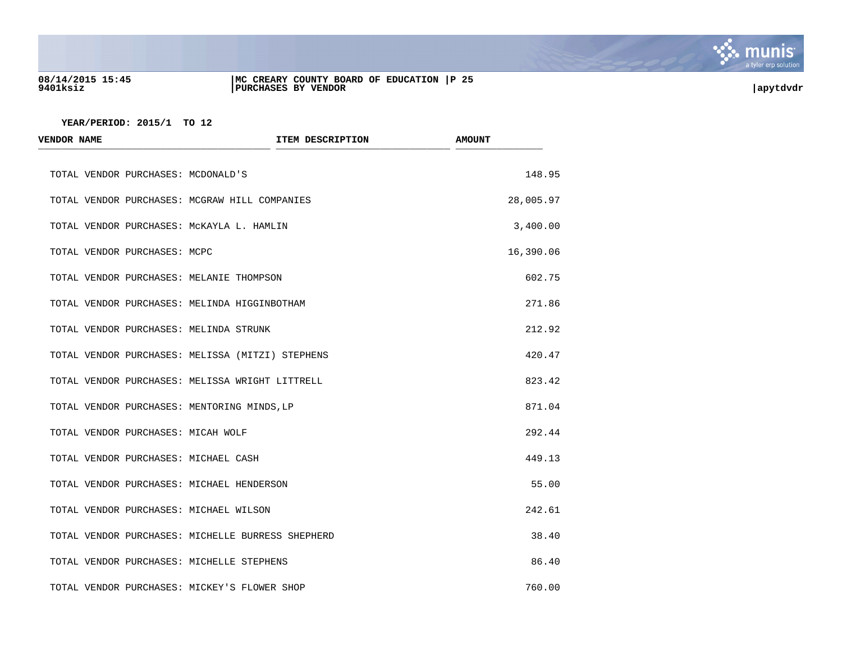

## **08/14/2015 15:45 |MC CREARY COUNTY BOARD OF EDUCATION |P 25 9401ksiz |PURCHASES BY VENDOR |apytdvdr**

| <b>VENDOR NAME</b>           |                                                   | ITEM DESCRIPTION | <b>AMOUNT</b> |
|------------------------------|---------------------------------------------------|------------------|---------------|
|                              | TOTAL VENDOR PURCHASES: MCDONALD'S                |                  | 148.95        |
|                              | TOTAL VENDOR PURCHASES: MCGRAW HILL COMPANIES     |                  | 28,005.97     |
|                              | TOTAL VENDOR PURCHASES: MCKAYLA L. HAMLIN         |                  | 3,400.00      |
| TOTAL VENDOR PURCHASES: MCPC |                                                   |                  | 16,390.06     |
|                              | TOTAL VENDOR PURCHASES: MELANIE THOMPSON          |                  | 602.75        |
|                              | TOTAL VENDOR PURCHASES: MELINDA HIGGINBOTHAM      |                  | 271.86        |
|                              | TOTAL VENDOR PURCHASES: MELINDA STRUNK            |                  | 212.92        |
|                              | TOTAL VENDOR PURCHASES: MELISSA (MITZI) STEPHENS  |                  | 420.47        |
|                              | TOTAL VENDOR PURCHASES: MELISSA WRIGHT LITTRELL   |                  | 823.42        |
|                              | TOTAL VENDOR PURCHASES: MENTORING MINDS, LP       |                  | 871.04        |
|                              | TOTAL VENDOR PURCHASES: MICAH WOLF                |                  | 292.44        |
|                              | TOTAL VENDOR PURCHASES: MICHAEL CASH              |                  | 449.13        |
|                              | TOTAL VENDOR PURCHASES: MICHAEL HENDERSON         |                  | 55.00         |
|                              | TOTAL VENDOR PURCHASES: MICHAEL WILSON            |                  | 242.61        |
|                              | TOTAL VENDOR PURCHASES: MICHELLE BURRESS SHEPHERD |                  | 38.40         |
|                              | TOTAL VENDOR PURCHASES: MICHELLE STEPHENS         |                  | 86.40         |
|                              | TOTAL VENDOR PURCHASES: MICKEY'S FLOWER SHOP      |                  | 760.00        |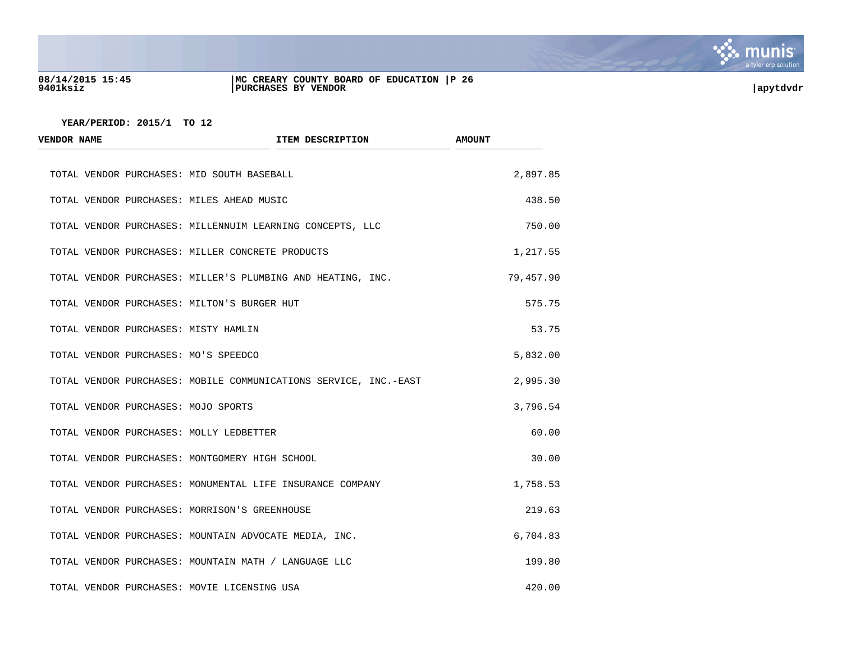

### **08/14/2015 15:45 |MC CREARY COUNTY BOARD OF EDUCATION |P 26 9401ksiz |PURCHASES BY VENDOR |apytdvdr**

| <b>VENDOR NAME</b>                             | ITEM DESCRIPTION                                                 | <b>AMOUNT</b> |
|------------------------------------------------|------------------------------------------------------------------|---------------|
| TOTAL VENDOR PURCHASES: MID SOUTH BASEBALL     |                                                                  | 2,897.85      |
| TOTAL VENDOR PURCHASES: MILES AHEAD MUSIC      |                                                                  | 438.50        |
|                                                | TOTAL VENDOR PURCHASES: MILLENNUIM LEARNING CONCEPTS, LLC        | 750.00        |
|                                                | TOTAL VENDOR PURCHASES: MILLER CONCRETE PRODUCTS                 | 1,217.55      |
|                                                | TOTAL VENDOR PURCHASES: MILLER'S PLUMBING AND HEATING, INC.      | 79,457.90     |
| TOTAL VENDOR PURCHASES: MILTON'S BURGER HUT    |                                                                  | 575.75        |
| TOTAL VENDOR PURCHASES: MISTY HAMLIN           |                                                                  | 53.75         |
| TOTAL VENDOR PURCHASES: MO'S SPEEDCO           |                                                                  | 5,832.00      |
|                                                | TOTAL VENDOR PURCHASES: MOBILE COMMUNICATIONS SERVICE, INC.-EAST | 2,995.30      |
| TOTAL VENDOR PURCHASES: MOJO SPORTS            |                                                                  | 3,796.54      |
| TOTAL VENDOR PURCHASES: MOLLY LEDBETTER        |                                                                  | 60.00         |
| TOTAL VENDOR PURCHASES: MONTGOMERY HIGH SCHOOL |                                                                  | 30.00         |
|                                                | TOTAL VENDOR PURCHASES: MONUMENTAL LIFE INSURANCE COMPANY        | 1,758.53      |
| TOTAL VENDOR PURCHASES: MORRISON'S GREENHOUSE  |                                                                  | 219.63        |
|                                                | TOTAL VENDOR PURCHASES: MOUNTAIN ADVOCATE MEDIA, INC.            | 6,704.83      |
|                                                | TOTAL VENDOR PURCHASES: MOUNTAIN MATH / LANGUAGE LLC             | 199.80        |
| TOTAL VENDOR PURCHASES: MOVIE LICENSING USA    |                                                                  | 420.00        |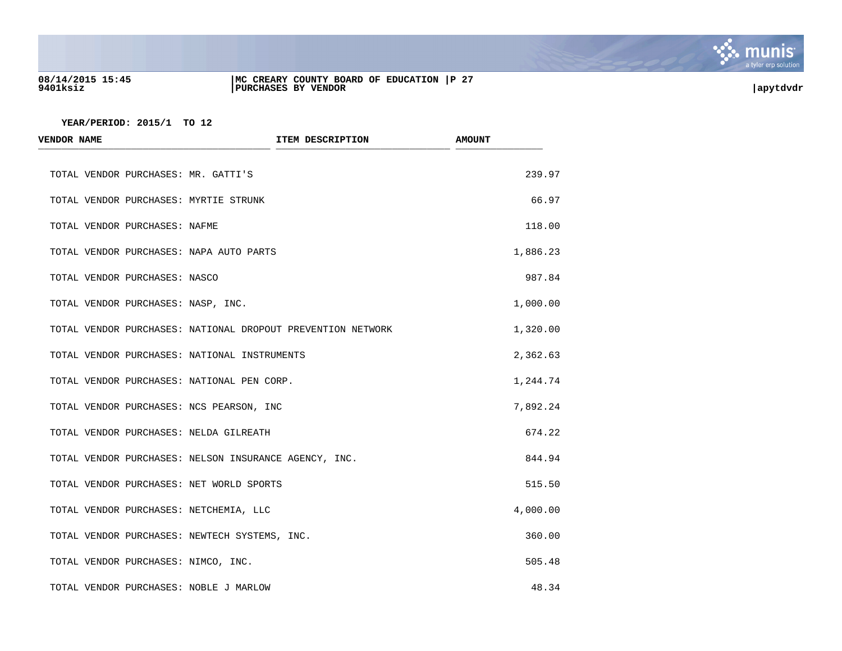

## **08/14/2015 15:45 |MC CREARY COUNTY BOARD OF EDUCATION |P 27 9401ksiz |PURCHASES BY VENDOR |apytdvdr**

| <b>VENDOR NAME</b>                            | ITEM DESCRIPTION                                            | <b>AMOUNT</b> |
|-----------------------------------------------|-------------------------------------------------------------|---------------|
| TOTAL VENDOR PURCHASES: MR. GATTI'S           |                                                             | 239.97        |
| TOTAL VENDOR PURCHASES: MYRTIE STRUNK         |                                                             | 66.97         |
| TOTAL VENDOR PURCHASES: NAFME                 |                                                             | 118.00        |
| TOTAL VENDOR PURCHASES: NAPA AUTO PARTS       |                                                             | 1,886.23      |
| TOTAL VENDOR PURCHASES: NASCO                 |                                                             | 987.84        |
| TOTAL VENDOR PURCHASES: NASP, INC.            |                                                             | 1,000.00      |
|                                               | TOTAL VENDOR PURCHASES: NATIONAL DROPOUT PREVENTION NETWORK | 1,320.00      |
| TOTAL VENDOR PURCHASES: NATIONAL INSTRUMENTS  |                                                             | 2,362.63      |
| TOTAL VENDOR PURCHASES: NATIONAL PEN CORP.    |                                                             | 1,244.74      |
| TOTAL VENDOR PURCHASES: NCS PEARSON, INC      |                                                             | 7,892.24      |
| TOTAL VENDOR PURCHASES: NELDA GILREATH        |                                                             | 674.22        |
|                                               | TOTAL VENDOR PURCHASES: NELSON INSURANCE AGENCY, INC.       | 844.94        |
| TOTAL VENDOR PURCHASES: NET WORLD SPORTS      |                                                             | 515.50        |
| TOTAL VENDOR PURCHASES: NETCHEMIA, LLC        |                                                             | 4,000.00      |
| TOTAL VENDOR PURCHASES: NEWTECH SYSTEMS, INC. |                                                             | 360.00        |
| TOTAL VENDOR PURCHASES: NIMCO, INC.           |                                                             | 505.48        |
| TOTAL VENDOR PURCHASES: NOBLE J MARLOW        |                                                             | 48.34         |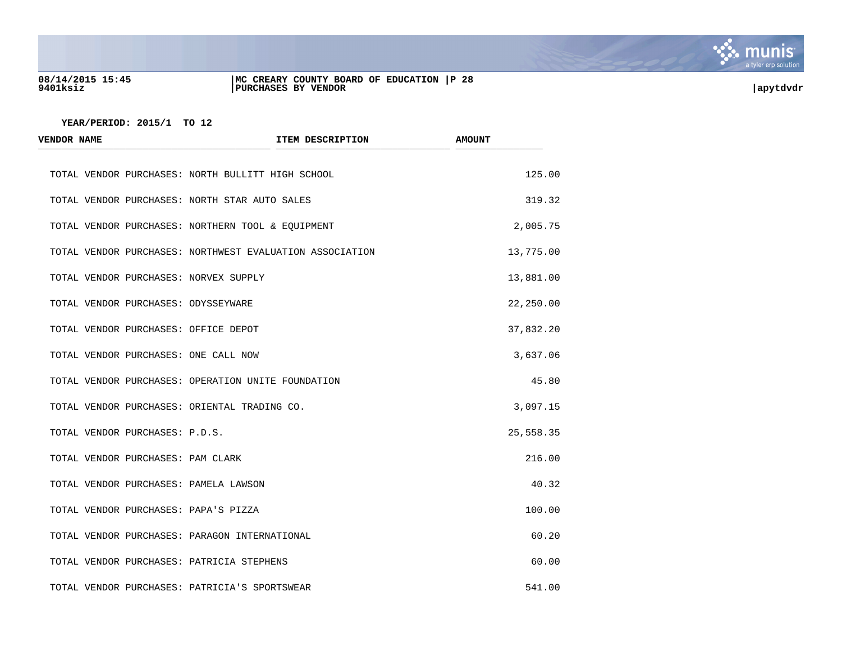

## **08/14/2015 15:45 |MC CREARY COUNTY BOARD OF EDUCATION |P 28 9401ksiz |PURCHASES BY VENDOR |apytdvdr**

| <b>VENDOR NAME</b>                   | ITEM DESCRIPTION                                         | <b>AMOUNT</b> |
|--------------------------------------|----------------------------------------------------------|---------------|
|                                      | TOTAL VENDOR PURCHASES: NORTH BULLITT HIGH SCHOOL        | 125.00        |
|                                      | TOTAL VENDOR PURCHASES: NORTH STAR AUTO SALES            | 319.32        |
|                                      | TOTAL VENDOR PURCHASES: NORTHERN TOOL & EQUIPMENT        | 2,005.75      |
|                                      | TOTAL VENDOR PURCHASES: NORTHWEST EVALUATION ASSOCIATION | 13,775.00     |
|                                      | TOTAL VENDOR PURCHASES: NORVEX SUPPLY                    | 13,881.00     |
| TOTAL VENDOR PURCHASES: ODYSSEYWARE  |                                                          | 22,250.00     |
| TOTAL VENDOR PURCHASES: OFFICE DEPOT |                                                          | 37,832.20     |
| TOTAL VENDOR PURCHASES: ONE CALL NOW |                                                          | 3,637.06      |
|                                      | TOTAL VENDOR PURCHASES: OPERATION UNITE FOUNDATION       | 45.80         |
|                                      | TOTAL VENDOR PURCHASES: ORIENTAL TRADING CO.             | 3,097.15      |
| TOTAL VENDOR PURCHASES: P.D.S.       |                                                          | 25,558.35     |
| TOTAL VENDOR PURCHASES: PAM CLARK    |                                                          | 216.00        |
|                                      | TOTAL VENDOR PURCHASES: PAMELA LAWSON                    | 40.32         |
| TOTAL VENDOR PURCHASES: PAPA'S PIZZA |                                                          | 100.00        |
|                                      | TOTAL VENDOR PURCHASES: PARAGON INTERNATIONAL            | 60.20         |
|                                      | TOTAL VENDOR PURCHASES: PATRICIA STEPHENS                | 60.00         |
|                                      | TOTAL VENDOR PURCHASES: PATRICIA'S SPORTSWEAR            | 541.00        |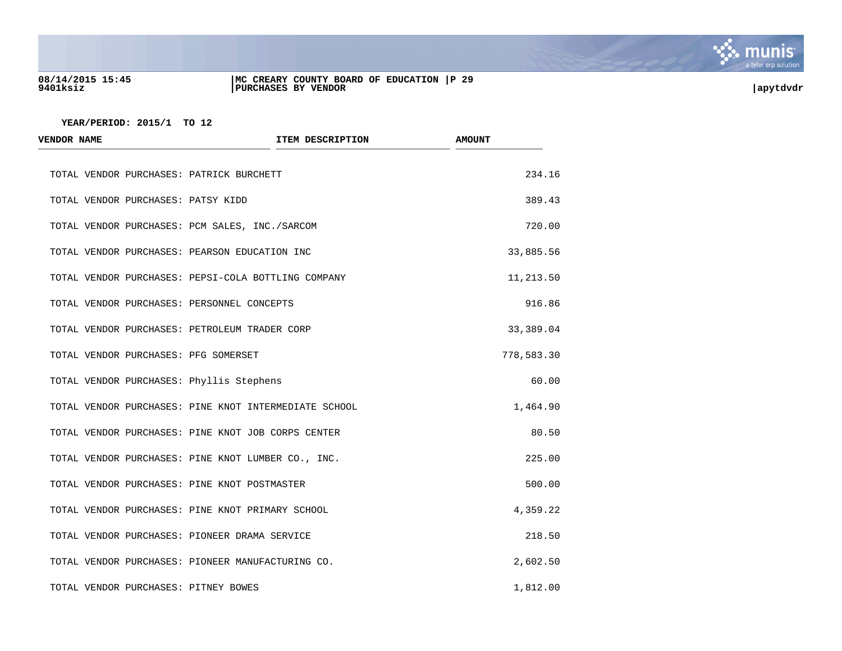

### **08/14/2015 15:45 |MC CREARY COUNTY BOARD OF EDUCATION |P 29 9401ksiz |PURCHASES BY VENDOR |apytdvdr**

| <b>VENDOR NAME</b>                   | ITEM DESCRIPTION                                      | <b>AMOUNT</b> |
|--------------------------------------|-------------------------------------------------------|---------------|
|                                      | TOTAL VENDOR PURCHASES: PATRICK BURCHETT              | 234.16        |
| TOTAL VENDOR PURCHASES: PATSY KIDD   |                                                       | 389.43        |
|                                      | TOTAL VENDOR PURCHASES: PCM SALES, INC./SARCOM        | 720.00        |
|                                      | TOTAL VENDOR PURCHASES: PEARSON EDUCATION INC         | 33,885.56     |
|                                      | TOTAL VENDOR PURCHASES: PEPSI-COLA BOTTLING COMPANY   | 11,213.50     |
|                                      | TOTAL VENDOR PURCHASES: PERSONNEL CONCEPTS            | 916.86        |
|                                      | TOTAL VENDOR PURCHASES: PETROLEUM TRADER CORP         | 33,389.04     |
| TOTAL VENDOR PURCHASES: PFG SOMERSET |                                                       | 778,583.30    |
|                                      | TOTAL VENDOR PURCHASES: Phyllis Stephens              | 60.00         |
|                                      | TOTAL VENDOR PURCHASES: PINE KNOT INTERMEDIATE SCHOOL | 1,464.90      |
|                                      | TOTAL VENDOR PURCHASES: PINE KNOT JOB CORPS CENTER    | 80.50         |
|                                      | TOTAL VENDOR PURCHASES: PINE KNOT LUMBER CO., INC.    | 225.00        |
|                                      | TOTAL VENDOR PURCHASES: PINE KNOT POSTMASTER          | 500.00        |
|                                      | TOTAL VENDOR PURCHASES: PINE KNOT PRIMARY SCHOOL      | 4,359.22      |
|                                      | TOTAL VENDOR PURCHASES: PIONEER DRAMA SERVICE         | 218.50        |
|                                      | TOTAL VENDOR PURCHASES: PIONEER MANUFACTURING CO.     | 2,602.50      |
| TOTAL VENDOR PURCHASES: PITNEY BOWES |                                                       | 1,812.00      |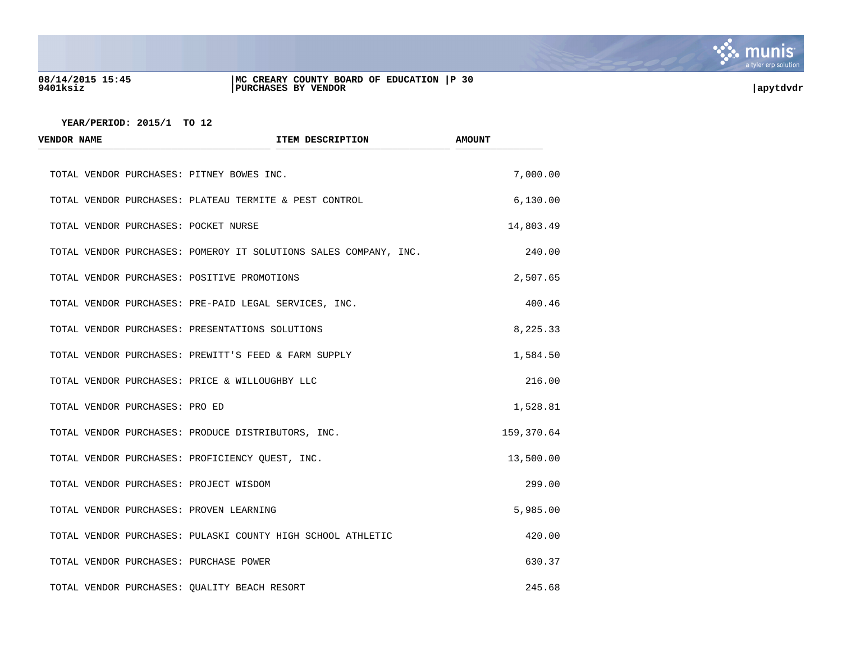

### **08/14/2015 15:45 |MC CREARY COUNTY BOARD OF EDUCATION |P 30 9401ksiz |PURCHASES BY VENDOR |apytdvdr**

| <b>VENDOR NAME</b>                   | ITEM DESCRIPTION                                                 | <b>AMOUNT</b> |
|--------------------------------------|------------------------------------------------------------------|---------------|
|                                      | TOTAL VENDOR PURCHASES: PITNEY BOWES INC.                        | 7,000.00      |
|                                      | TOTAL VENDOR PURCHASES: PLATEAU TERMITE & PEST CONTROL           | 6,130.00      |
| TOTAL VENDOR PURCHASES: POCKET NURSE |                                                                  | 14,803.49     |
|                                      | TOTAL VENDOR PURCHASES: POMEROY IT SOLUTIONS SALES COMPANY, INC. | 240.00        |
|                                      | TOTAL VENDOR PURCHASES: POSITIVE PROMOTIONS                      | 2,507.65      |
|                                      | TOTAL VENDOR PURCHASES: PRE-PAID LEGAL SERVICES, INC.            | 400.46        |
|                                      | TOTAL VENDOR PURCHASES: PRESENTATIONS SOLUTIONS                  | 8,225.33      |
|                                      | TOTAL VENDOR PURCHASES: PREWITT'S FEED & FARM SUPPLY             | 1,584.50      |
|                                      | TOTAL VENDOR PURCHASES: PRICE & WILLOUGHBY LLC                   | 216.00        |
| TOTAL VENDOR PURCHASES: PRO ED       |                                                                  | 1,528.81      |
|                                      | TOTAL VENDOR PURCHASES: PRODUCE DISTRIBUTORS, INC.               | 159,370.64    |
|                                      | TOTAL VENDOR PURCHASES: PROFICIENCY QUEST, INC.                  | 13,500.00     |
|                                      | TOTAL VENDOR PURCHASES: PROJECT WISDOM                           | 299.00        |
|                                      | TOTAL VENDOR PURCHASES: PROVEN LEARNING                          | 5,985.00      |
|                                      | TOTAL VENDOR PURCHASES: PULASKI COUNTY HIGH SCHOOL ATHLETIC      | 420.00        |
|                                      | TOTAL VENDOR PURCHASES: PURCHASE POWER                           | 630.37        |
|                                      | TOTAL VENDOR PURCHASES: QUALITY BEACH RESORT                     | 245.68        |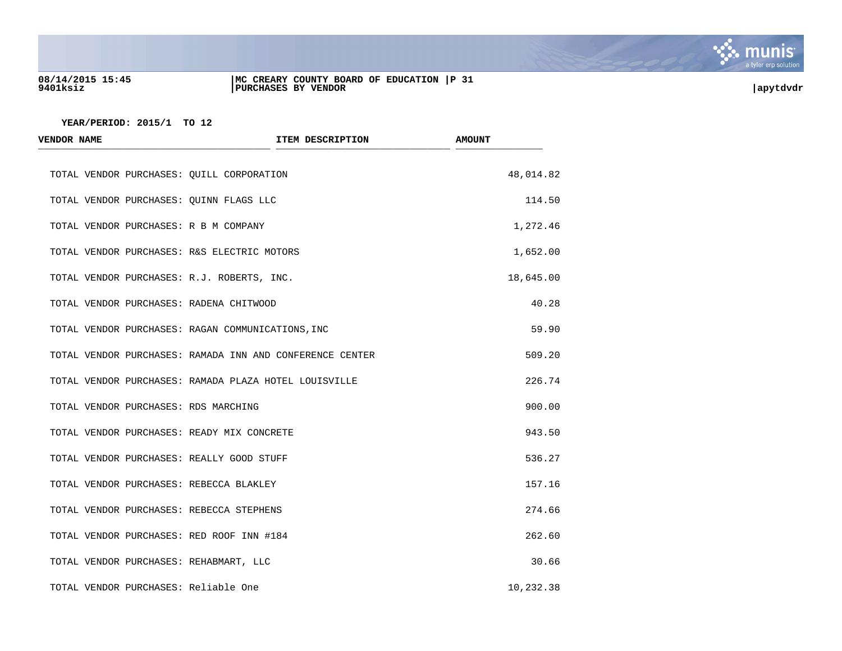

### **08/14/2015 15:45 |MC CREARY COUNTY BOARD OF EDUCATION |P 31 9401ksiz |PURCHASES BY VENDOR |apytdvdr**

| <b>VENDOR NAME</b>                       | ITEM DESCRIPTION                                         | <b>AMOUNT</b> |
|------------------------------------------|----------------------------------------------------------|---------------|
|                                          | TOTAL VENDOR PURCHASES: QUILL CORPORATION                | 48,014.82     |
| TOTAL VENDOR PURCHASES: QUINN FLAGS LLC  |                                                          | 114.50        |
| TOTAL VENDOR PURCHASES: R B M COMPANY    |                                                          | 1,272.46      |
|                                          | TOTAL VENDOR PURCHASES: R&S ELECTRIC MOTORS              | 1,652.00      |
|                                          | TOTAL VENDOR PURCHASES: R.J. ROBERTS, INC.               | 18,645.00     |
| TOTAL VENDOR PURCHASES: RADENA CHITWOOD  |                                                          | 40.28         |
|                                          | TOTAL VENDOR PURCHASES: RAGAN COMMUNICATIONS, INC        | 59.90         |
|                                          | TOTAL VENDOR PURCHASES: RAMADA INN AND CONFERENCE CENTER | 509.20        |
|                                          | TOTAL VENDOR PURCHASES: RAMADA PLAZA HOTEL LOUISVILLE    | 226.74        |
| TOTAL VENDOR PURCHASES: RDS MARCHING     |                                                          | 900.00        |
|                                          | TOTAL VENDOR PURCHASES: READY MIX CONCRETE               | 943.50        |
|                                          | TOTAL VENDOR PURCHASES: REALLY GOOD STUFF                | 536.27        |
| TOTAL VENDOR PURCHASES: REBECCA BLAKLEY  |                                                          | 157.16        |
| TOTAL VENDOR PURCHASES: REBECCA STEPHENS |                                                          | 274.66        |
|                                          | TOTAL VENDOR PURCHASES: RED ROOF INN #184                | 262.60        |
| TOTAL VENDOR PURCHASES: REHABMART, LLC   |                                                          | 30.66         |
| TOTAL VENDOR PURCHASES: Reliable One     |                                                          | 10,232.38     |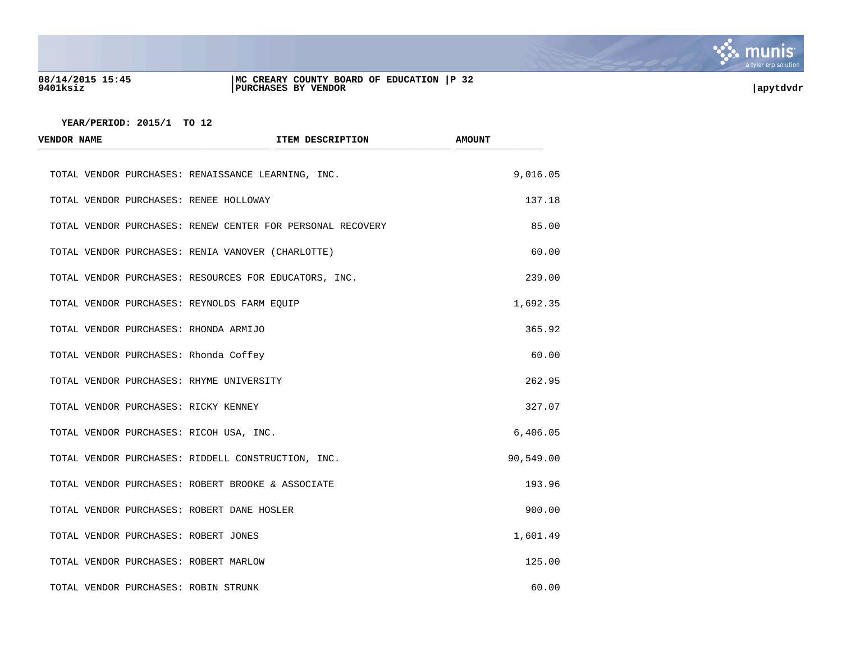

### **08/14/2015 15:45 |MC CREARY COUNTY BOARD OF EDUCATION |P 32 9401ksiz |PURCHASES BY VENDOR |apytdvdr**

| <b>VENDOR NAME</b> |                                                       | ITEM DESCRIPTION                                           | <b>AMOUNT</b> |
|--------------------|-------------------------------------------------------|------------------------------------------------------------|---------------|
|                    | TOTAL VENDOR PURCHASES: RENAISSANCE LEARNING, INC.    |                                                            | 9,016.05      |
|                    | TOTAL VENDOR PURCHASES: RENEE HOLLOWAY                |                                                            | 137.18        |
|                    |                                                       | TOTAL VENDOR PURCHASES: RENEW CENTER FOR PERSONAL RECOVERY | 85.00         |
|                    | TOTAL VENDOR PURCHASES: RENIA VANOVER (CHARLOTTE)     |                                                            | 60.00         |
|                    | TOTAL VENDOR PURCHASES: RESOURCES FOR EDUCATORS, INC. |                                                            | 239.00        |
|                    | TOTAL VENDOR PURCHASES: REYNOLDS FARM EQUIP           |                                                            | 1,692.35      |
|                    | TOTAL VENDOR PURCHASES: RHONDA ARMIJO                 |                                                            | 365.92        |
|                    | TOTAL VENDOR PURCHASES: Rhonda Coffey                 |                                                            | 60.00         |
|                    | TOTAL VENDOR PURCHASES: RHYME UNIVERSITY              |                                                            | 262.95        |
|                    | TOTAL VENDOR PURCHASES: RICKY KENNEY                  |                                                            | 327.07        |
|                    | TOTAL VENDOR PURCHASES: RICOH USA, INC.               |                                                            | 6,406.05      |
|                    | TOTAL VENDOR PURCHASES: RIDDELL CONSTRUCTION, INC.    |                                                            | 90,549.00     |
|                    | TOTAL VENDOR PURCHASES: ROBERT BROOKE & ASSOCIATE     |                                                            | 193.96        |
|                    | TOTAL VENDOR PURCHASES: ROBERT DANE HOSLER            |                                                            | 900.00        |
|                    | TOTAL VENDOR PURCHASES: ROBERT JONES                  |                                                            | 1,601.49      |
|                    | TOTAL VENDOR PURCHASES: ROBERT MARLOW                 |                                                            | 125.00        |
|                    | TOTAL VENDOR PURCHASES: ROBIN STRUNK                  |                                                            | 60.00         |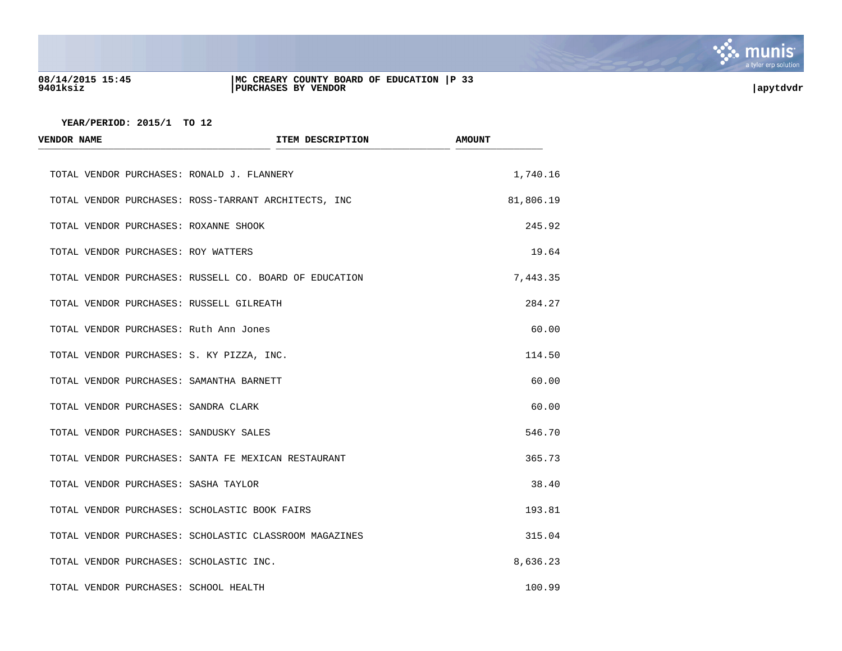

### **08/14/2015 15:45 |MC CREARY COUNTY BOARD OF EDUCATION |P 33 9401ksiz |PURCHASES BY VENDOR |apytdvdr**

| <b>VENDOR NAME</b> | ITEM DESCRIPTION                                       | <b>AMOUNT</b> |
|--------------------|--------------------------------------------------------|---------------|
|                    | TOTAL VENDOR PURCHASES: RONALD J. FLANNERY             | 1,740.16      |
|                    | TOTAL VENDOR PURCHASES: ROSS-TARRANT ARCHITECTS, INC   | 81,806.19     |
|                    | TOTAL VENDOR PURCHASES: ROXANNE SHOOK                  | 245.92        |
|                    | TOTAL VENDOR PURCHASES: ROY WATTERS                    | 19.64         |
|                    | TOTAL VENDOR PURCHASES: RUSSELL CO. BOARD OF EDUCATION | 7,443.35      |
|                    | TOTAL VENDOR PURCHASES: RUSSELL GILREATH               | 284.27        |
|                    | TOTAL VENDOR PURCHASES: Ruth Ann Jones                 | 60.00         |
|                    | TOTAL VENDOR PURCHASES: S. KY PIZZA, INC.              | 114.50        |
|                    | TOTAL VENDOR PURCHASES: SAMANTHA BARNETT               | 60.00         |
|                    | TOTAL VENDOR PURCHASES: SANDRA CLARK                   | 60.00         |
|                    | TOTAL VENDOR PURCHASES: SANDUSKY SALES                 | 546.70        |
|                    | TOTAL VENDOR PURCHASES: SANTA FE MEXICAN RESTAURANT    | 365.73        |
|                    | TOTAL VENDOR PURCHASES: SASHA TAYLOR                   | 38.40         |
|                    | TOTAL VENDOR PURCHASES: SCHOLASTIC BOOK FAIRS          | 193.81        |
|                    | TOTAL VENDOR PURCHASES: SCHOLASTIC CLASSROOM MAGAZINES | 315.04        |
|                    | TOTAL VENDOR PURCHASES: SCHOLASTIC INC.                | 8,636.23      |
|                    | TOTAL VENDOR PURCHASES: SCHOOL HEALTH                  | 100.99        |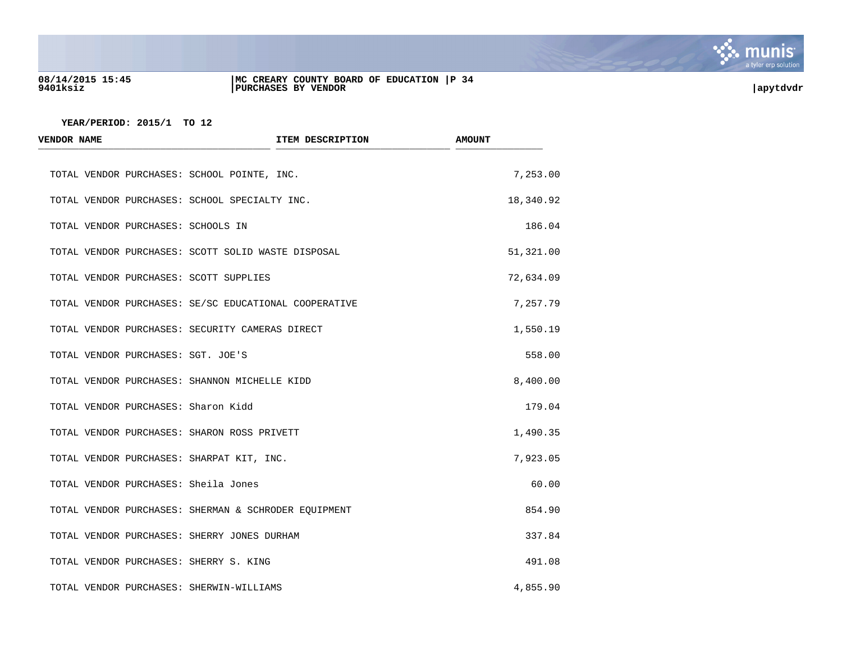

## **08/14/2015 15:45 |MC CREARY COUNTY BOARD OF EDUCATION |P 34 9401ksiz |PURCHASES BY VENDOR |apytdvdr**

| <b>VENDOR NAME</b>                            | ITEM DESCRIPTION                                      | <b>AMOUNT</b> |
|-----------------------------------------------|-------------------------------------------------------|---------------|
| TOTAL VENDOR PURCHASES: SCHOOL POINTE, INC.   |                                                       | 7,253.00      |
| TOTAL VENDOR PURCHASES: SCHOOL SPECIALTY INC. |                                                       | 18,340.92     |
| TOTAL VENDOR PURCHASES: SCHOOLS IN            |                                                       | 186.04        |
|                                               | TOTAL VENDOR PURCHASES: SCOTT SOLID WASTE DISPOSAL    | 51,321.00     |
| TOTAL VENDOR PURCHASES: SCOTT SUPPLIES        |                                                       | 72,634.09     |
|                                               | TOTAL VENDOR PURCHASES: SE/SC EDUCATIONAL COOPERATIVE | 7,257.79      |
|                                               | TOTAL VENDOR PURCHASES: SECURITY CAMERAS DIRECT       | 1,550.19      |
| TOTAL VENDOR PURCHASES: SGT. JOE'S            |                                                       | 558.00        |
| TOTAL VENDOR PURCHASES: SHANNON MICHELLE KIDD |                                                       | 8,400.00      |
| TOTAL VENDOR PURCHASES: Sharon Kidd           |                                                       | 179.04        |
| TOTAL VENDOR PURCHASES: SHARON ROSS PRIVETT   |                                                       | 1,490.35      |
| TOTAL VENDOR PURCHASES: SHARPAT KIT, INC.     |                                                       | 7,923.05      |
| TOTAL VENDOR PURCHASES: Sheila Jones          |                                                       | 60.00         |
|                                               | TOTAL VENDOR PURCHASES: SHERMAN & SCHRODER EQUIPMENT  | 854.90        |
| TOTAL VENDOR PURCHASES: SHERRY JONES DURHAM   |                                                       | 337.84        |
| TOTAL VENDOR PURCHASES: SHERRY S. KING        |                                                       | 491.08        |
| TOTAL VENDOR PURCHASES: SHERWIN-WILLIAMS      |                                                       | 4,855.90      |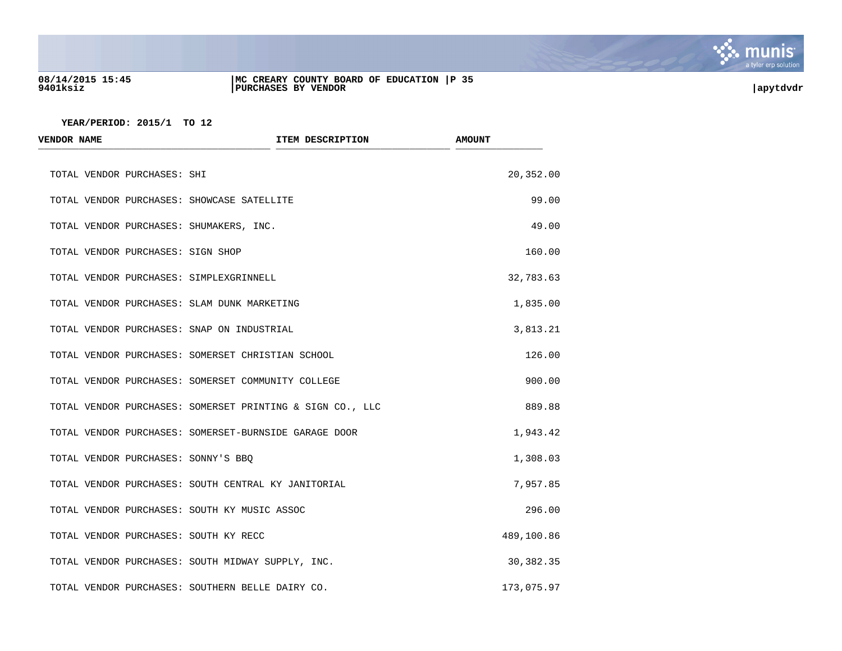

### **08/14/2015 15:45 |MC CREARY COUNTY BOARD OF EDUCATION |P 35 9401ksiz |PURCHASES BY VENDOR |apytdvdr**

| <b>VENDOR NAME</b>                           | ITEM DESCRIPTION                                          | <b>AMOUNT</b> |
|----------------------------------------------|-----------------------------------------------------------|---------------|
| TOTAL VENDOR PURCHASES: SHI                  |                                                           | 20,352.00     |
| TOTAL VENDOR PURCHASES: SHOWCASE SATELLITE   |                                                           | 99.00         |
| TOTAL VENDOR PURCHASES: SHUMAKERS, INC.      |                                                           | 49.00         |
| TOTAL VENDOR PURCHASES: SIGN SHOP            |                                                           | 160.00        |
| TOTAL VENDOR PURCHASES: SIMPLEXGRINNELL      |                                                           | 32,783.63     |
| TOTAL VENDOR PURCHASES: SLAM DUNK MARKETING  |                                                           | 1,835.00      |
| TOTAL VENDOR PURCHASES: SNAP ON INDUSTRIAL   |                                                           | 3,813.21      |
|                                              | TOTAL VENDOR PURCHASES: SOMERSET CHRISTIAN SCHOOL         | 126.00        |
|                                              | TOTAL VENDOR PURCHASES: SOMERSET COMMUNITY COLLEGE        | 900.00        |
|                                              | TOTAL VENDOR PURCHASES: SOMERSET PRINTING & SIGN CO., LLC | 889.88        |
|                                              | TOTAL VENDOR PURCHASES: SOMERSET-BURNSIDE GARAGE DOOR     | 1,943.42      |
| TOTAL VENDOR PURCHASES: SONNY'S BBQ          |                                                           | 1,308.03      |
|                                              | TOTAL VENDOR PURCHASES: SOUTH CENTRAL KY JANITORIAL       | 7,957.85      |
| TOTAL VENDOR PURCHASES: SOUTH KY MUSIC ASSOC |                                                           | 296.00        |
| TOTAL VENDOR PURCHASES: SOUTH KY RECC        |                                                           | 489,100.86    |
|                                              | TOTAL VENDOR PURCHASES: SOUTH MIDWAY SUPPLY, INC.         | 30,382.35     |
|                                              | TOTAL VENDOR PURCHASES: SOUTHERN BELLE DAIRY CO.          | 173,075.97    |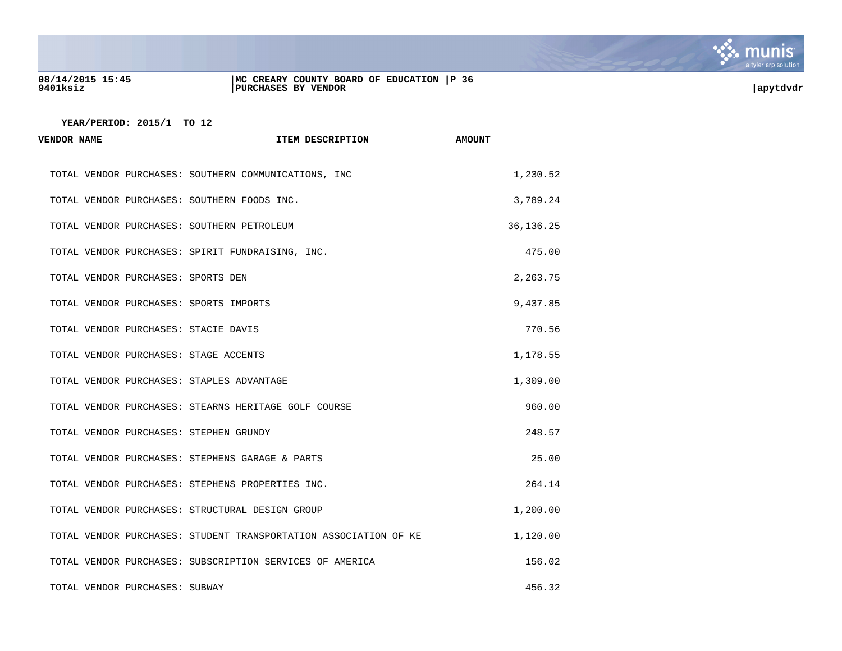

### **08/14/2015 15:45 |MC CREARY COUNTY BOARD OF EDUCATION |P 36 9401ksiz |PURCHASES BY VENDOR |apytdvdr**

| <b>VENDOR NAME</b>                          | ITEM DESCRIPTION                                                 | <b>AMOUNT</b> |
|---------------------------------------------|------------------------------------------------------------------|---------------|
|                                             | TOTAL VENDOR PURCHASES: SOUTHERN COMMUNICATIONS, INC             | 1,230.52      |
| TOTAL VENDOR PURCHASES: SOUTHERN FOODS INC. |                                                                  | 3,789.24      |
| TOTAL VENDOR PURCHASES: SOUTHERN PETROLEUM  |                                                                  | 36, 136. 25   |
|                                             | TOTAL VENDOR PURCHASES: SPIRIT FUNDRAISING, INC.                 | 475.00        |
| TOTAL VENDOR PURCHASES: SPORTS DEN          |                                                                  | 2,263.75      |
| TOTAL VENDOR PURCHASES: SPORTS IMPORTS      |                                                                  | 9,437.85      |
| TOTAL VENDOR PURCHASES: STACIE DAVIS        |                                                                  | 770.56        |
| TOTAL VENDOR PURCHASES: STAGE ACCENTS       |                                                                  | 1,178.55      |
| TOTAL VENDOR PURCHASES: STAPLES ADVANTAGE   |                                                                  | 1,309.00      |
|                                             | TOTAL VENDOR PURCHASES: STEARNS HERITAGE GOLF COURSE             | 960.00        |
| TOTAL VENDOR PURCHASES: STEPHEN GRUNDY      |                                                                  | 248.57        |
|                                             | TOTAL VENDOR PURCHASES: STEPHENS GARAGE & PARTS                  | 25.00         |
|                                             | TOTAL VENDOR PURCHASES: STEPHENS PROPERTIES INC.                 | 264.14        |
|                                             | TOTAL VENDOR PURCHASES: STRUCTURAL DESIGN GROUP                  | 1,200.00      |
|                                             | TOTAL VENDOR PURCHASES: STUDENT TRANSPORTATION ASSOCIATION OF KE | 1,120.00      |
|                                             | TOTAL VENDOR PURCHASES: SUBSCRIPTION SERVICES OF AMERICA         | 156.02        |
| TOTAL VENDOR PURCHASES: SUBWAY              |                                                                  | 456.32        |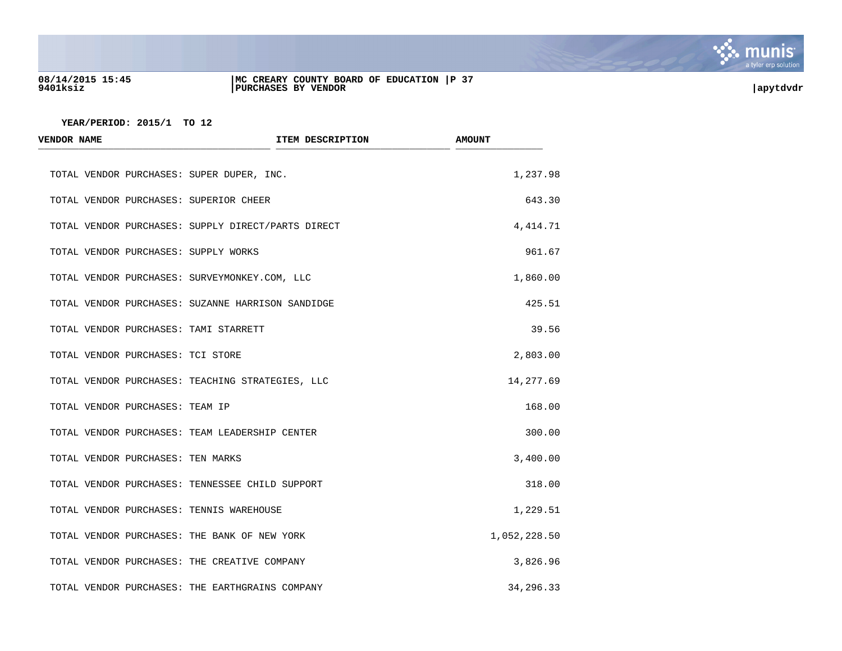

### **08/14/2015 15:45 |MC CREARY COUNTY BOARD OF EDUCATION |P 37 9401ksiz |PURCHASES BY VENDOR |apytdvdr**

| <b>VENDOR NAME</b>                   | ITEM DESCRIPTION                                   | <b>AMOUNT</b> |
|--------------------------------------|----------------------------------------------------|---------------|
|                                      | TOTAL VENDOR PURCHASES: SUPER DUPER, INC.          | 1,237.98      |
|                                      | TOTAL VENDOR PURCHASES: SUPERIOR CHEER             | 643.30        |
|                                      | TOTAL VENDOR PURCHASES: SUPPLY DIRECT/PARTS DIRECT | 4, 414.71     |
| TOTAL VENDOR PURCHASES: SUPPLY WORKS |                                                    | 961.67        |
|                                      | TOTAL VENDOR PURCHASES: SURVEYMONKEY.COM, LLC      | 1,860.00      |
|                                      | TOTAL VENDOR PURCHASES: SUZANNE HARRISON SANDIDGE  | 425.51        |
|                                      | TOTAL VENDOR PURCHASES: TAMI STARRETT              | 39.56         |
| TOTAL VENDOR PURCHASES: TCI STORE    |                                                    | 2,803.00      |
|                                      | TOTAL VENDOR PURCHASES: TEACHING STRATEGIES, LLC   | 14,277.69     |
| TOTAL VENDOR PURCHASES: TEAM IP      |                                                    | 168.00        |
|                                      | TOTAL VENDOR PURCHASES: TEAM LEADERSHIP CENTER     | 300.00        |
| TOTAL VENDOR PURCHASES: TEN MARKS    |                                                    | 3,400.00      |
|                                      | TOTAL VENDOR PURCHASES: TENNESSEE CHILD SUPPORT    | 318.00        |
|                                      | TOTAL VENDOR PURCHASES: TENNIS WAREHOUSE           | 1,229.51      |
|                                      | TOTAL VENDOR PURCHASES: THE BANK OF NEW YORK       | 1,052,228.50  |
|                                      | TOTAL VENDOR PURCHASES: THE CREATIVE COMPANY       | 3,826.96      |
|                                      | TOTAL VENDOR PURCHASES: THE EARTHGRAINS COMPANY    | 34, 296. 33   |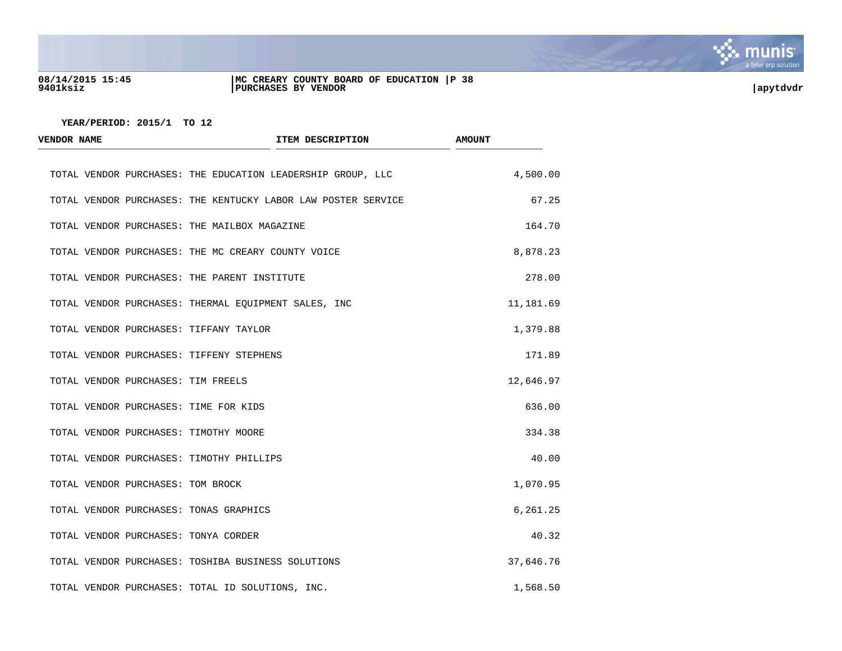

## **08/14/2015 15:45 |MC CREARY COUNTY BOARD OF EDUCATION |P 38 9401ksiz |PURCHASES BY VENDOR |apytdvdr**

| VENDOR NAME                        | ITEM DESCRIPTION                                              | <b>AMOUNT</b> |
|------------------------------------|---------------------------------------------------------------|---------------|
|                                    | TOTAL VENDOR PURCHASES: THE EDUCATION LEADERSHIP GROUP, LLC   | 4,500.00      |
|                                    | TOTAL VENDOR PURCHASES: THE KENTUCKY LABOR LAW POSTER SERVICE | 67.25         |
|                                    | TOTAL VENDOR PURCHASES: THE MAILBOX MAGAZINE                  | 164.70        |
|                                    | TOTAL VENDOR PURCHASES: THE MC CREARY COUNTY VOICE            | 8,878.23      |
|                                    | TOTAL VENDOR PURCHASES: THE PARENT INSTITUTE                  | 278.00        |
|                                    | TOTAL VENDOR PURCHASES: THERMAL EQUIPMENT SALES, INC          | 11,181.69     |
|                                    | TOTAL VENDOR PURCHASES: TIFFANY TAYLOR                        | 1,379.88      |
|                                    | TOTAL VENDOR PURCHASES: TIFFENY STEPHENS                      | 171.89        |
| TOTAL VENDOR PURCHASES: TIM FREELS |                                                               | 12,646.97     |
|                                    | TOTAL VENDOR PURCHASES: TIME FOR KIDS                         | 636.00        |
|                                    | TOTAL VENDOR PURCHASES: TIMOTHY MOORE                         | 334.38        |
|                                    | TOTAL VENDOR PURCHASES: TIMOTHY PHILLIPS                      | 40.00         |
| TOTAL VENDOR PURCHASES: TOM BROCK  |                                                               | 1,070.95      |
|                                    | TOTAL VENDOR PURCHASES: TONAS GRAPHICS                        | 6,261.25      |
|                                    | TOTAL VENDOR PURCHASES: TONYA CORDER                          | 40.32         |
|                                    | TOTAL VENDOR PURCHASES: TOSHIBA BUSINESS SOLUTIONS            | 37,646.76     |
|                                    | TOTAL VENDOR PURCHASES: TOTAL ID SOLUTIONS, INC.              | 1,568.50      |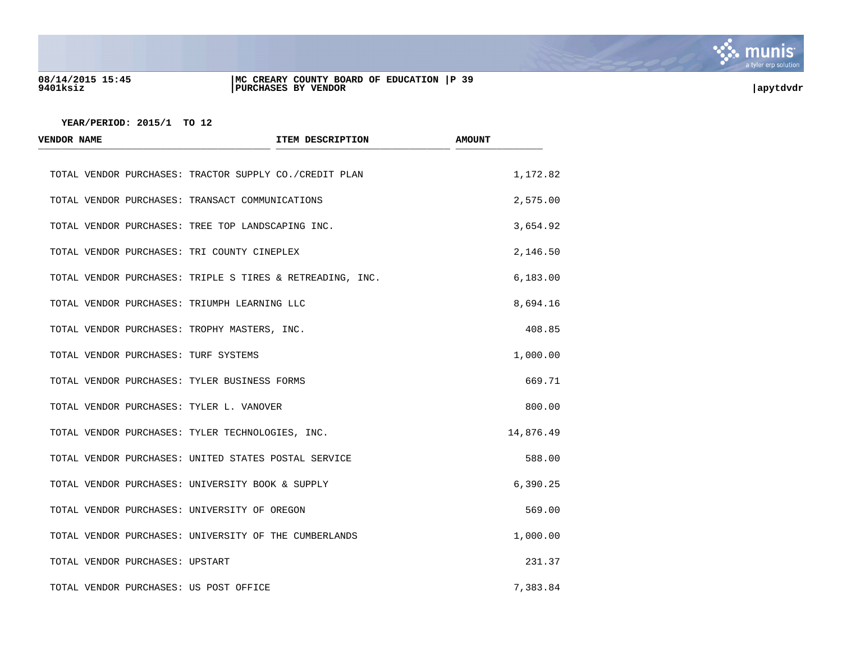

### **08/14/2015 15:45 |MC CREARY COUNTY BOARD OF EDUCATION |P 39 9401ksiz |PURCHASES BY VENDOR |apytdvdr**

| <b>VENDOR NAME</b>                                        | ITEM DESCRIPTION | <b>AMOUNT</b> |
|-----------------------------------------------------------|------------------|---------------|
| TOTAL VENDOR PURCHASES: TRACTOR SUPPLY CO./CREDIT PLAN    |                  | 1,172.82      |
| TOTAL VENDOR PURCHASES: TRANSACT COMMUNICATIONS           |                  | 2,575.00      |
| TOTAL VENDOR PURCHASES: TREE TOP LANDSCAPING INC.         |                  | 3,654.92      |
| TOTAL VENDOR PURCHASES: TRI COUNTY CINEPLEX               |                  | 2,146.50      |
| TOTAL VENDOR PURCHASES: TRIPLE S TIRES & RETREADING, INC. |                  | 6,183.00      |
| TOTAL VENDOR PURCHASES: TRIUMPH LEARNING LLC              |                  | 8,694.16      |
| TOTAL VENDOR PURCHASES: TROPHY MASTERS, INC.              |                  | 408.85        |
| TOTAL VENDOR PURCHASES: TURF SYSTEMS                      |                  | 1,000.00      |
| TOTAL VENDOR PURCHASES: TYLER BUSINESS FORMS              |                  | 669.71        |
| TOTAL VENDOR PURCHASES: TYLER L. VANOVER                  |                  | 800.00        |
| TOTAL VENDOR PURCHASES: TYLER TECHNOLOGIES, INC.          |                  | 14,876.49     |
| TOTAL VENDOR PURCHASES: UNITED STATES POSTAL SERVICE      |                  | 588.00        |
| TOTAL VENDOR PURCHASES: UNIVERSITY BOOK & SUPPLY          |                  | 6,390.25      |
| TOTAL VENDOR PURCHASES: UNIVERSITY OF OREGON              |                  | 569.00        |
| TOTAL VENDOR PURCHASES: UNIVERSITY OF THE CUMBERLANDS     |                  | 1,000.00      |
| TOTAL VENDOR PURCHASES: UPSTART                           |                  | 231.37        |
| TOTAL VENDOR PURCHASES: US POST OFFICE                    |                  | 7,383.84      |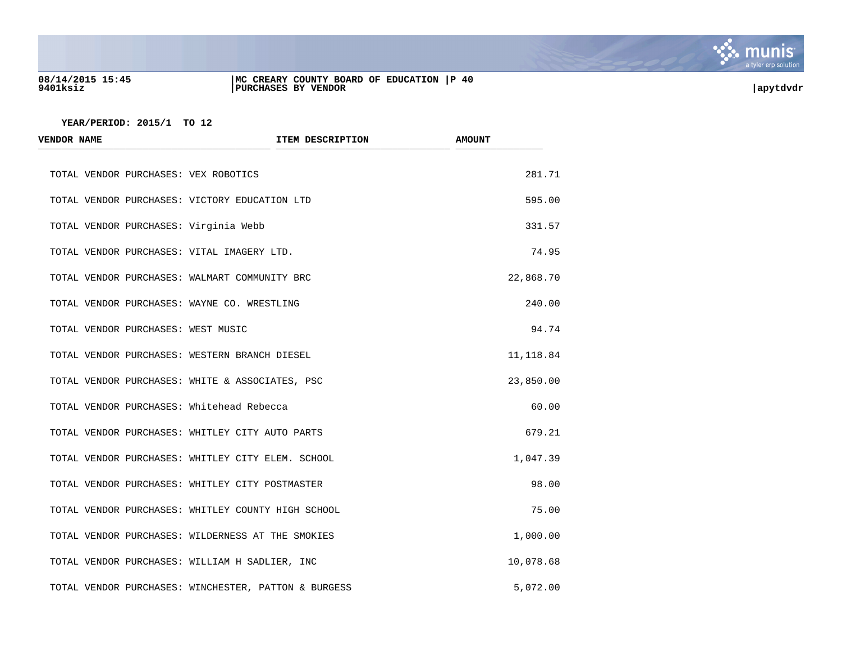

## **08/14/2015 15:45 |MC CREARY COUNTY BOARD OF EDUCATION |P 40 9401ksiz |PURCHASES BY VENDOR |apytdvdr**

| <b>VENDOR NAME</b>                         | ITEM DESCRIPTION                                     | <b>AMOUNT</b> |
|--------------------------------------------|------------------------------------------------------|---------------|
| TOTAL VENDOR PURCHASES: VEX ROBOTICS       |                                                      | 281.71        |
|                                            | TOTAL VENDOR PURCHASES: VICTORY EDUCATION LTD        | 595.00        |
| TOTAL VENDOR PURCHASES: Virginia Webb      |                                                      | 331.57        |
| TOTAL VENDOR PURCHASES: VITAL IMAGERY LTD. |                                                      | 74.95         |
|                                            | TOTAL VENDOR PURCHASES: WALMART COMMUNITY BRC        | 22,868.70     |
|                                            | TOTAL VENDOR PURCHASES: WAYNE CO. WRESTLING          | 240.00        |
| TOTAL VENDOR PURCHASES: WEST MUSIC         |                                                      | 94.74         |
|                                            | TOTAL VENDOR PURCHASES: WESTERN BRANCH DIESEL        | 11,118.84     |
|                                            | TOTAL VENDOR PURCHASES: WHITE & ASSOCIATES, PSC      | 23,850.00     |
| TOTAL VENDOR PURCHASES: Whitehead Rebecca  |                                                      | 60.00         |
|                                            | TOTAL VENDOR PURCHASES: WHITLEY CITY AUTO PARTS      | 679.21        |
|                                            | TOTAL VENDOR PURCHASES: WHITLEY CITY ELEM. SCHOOL    | 1,047.39      |
|                                            | TOTAL VENDOR PURCHASES: WHITLEY CITY POSTMASTER      | 98.00         |
|                                            | TOTAL VENDOR PURCHASES: WHITLEY COUNTY HIGH SCHOOL   | 75.00         |
|                                            | TOTAL VENDOR PURCHASES: WILDERNESS AT THE SMOKIES    | 1,000.00      |
|                                            | TOTAL VENDOR PURCHASES: WILLIAM H SADLIER, INC       | 10,078.68     |
|                                            | TOTAL VENDOR PURCHASES: WINCHESTER, PATTON & BURGESS | 5,072.00      |